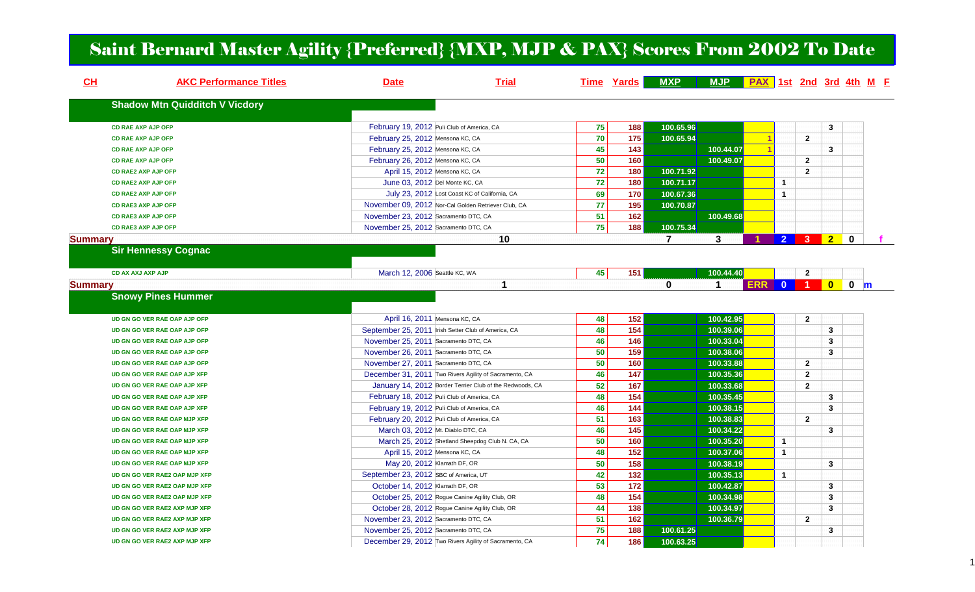## Saint Bernard Master Agility {Preferred} {MXP, MJP & PAX} Scores From 2002 To Date

| CL             | <b>AKC Performance Titles</b>         | <b>Date</b>                           | <b>Trial</b>                                             |    | <b>Time Yards</b> | <b>MXP</b>     | MJP PAX 1st 2nd 3rd 4th M E |            |                |                         |                |             |  |
|----------------|---------------------------------------|---------------------------------------|----------------------------------------------------------|----|-------------------|----------------|-----------------------------|------------|----------------|-------------------------|----------------|-------------|--|
|                | <b>Shadow Mtn Quidditch V Vicdory</b> |                                       |                                                          |    |                   |                |                             |            |                |                         |                |             |  |
|                | <b>CD RAE AXP AJP OFP</b>             |                                       | February 19, 2012 Puli Club of America, CA               | 75 | 188               | 100.65.96      |                             |            |                |                         | 3              |             |  |
|                | <b>CD RAE AXP AJP OFP</b>             | February 25, 2012 Mensona KC, CA      |                                                          | 70 | $\frac{1}{175}$   | 100.65.94      |                             |            |                | $\overline{2}$          |                |             |  |
|                | <b>CD RAE AXP AJP OFP</b>             | February 25, 2012 Mensona KC, CA      |                                                          | 45 | 143               |                | 100.44.07                   |            |                |                         | 3              |             |  |
|                | <b>CD RAE AXP AJP OFP</b>             | February 26, 2012 Mensona KC, CA      |                                                          | 50 | 160               |                | 100.49.07                   |            |                | $\overline{2}$          |                |             |  |
|                | <b>CD RAE2 AXP AJP OFP</b>            |                                       | April 15, 2012 Mensona KC, CA                            | 72 | 180               | 100.71.92      |                             |            |                | $\overline{2}$          |                |             |  |
|                | <b>CD RAE2 AXP AJP OFP</b>            |                                       | June 03, 2012 Del Monte KC, CA                           | 72 | 180               | 100.71.17      |                             |            | $\mathbf{1}$   |                         |                |             |  |
|                | <b>CD RAE2 AXP AJP OFP</b>            |                                       | July 23, 2012 Lost Coast KC of California, CA            | 69 | 170               | 100.67.36      |                             |            | $\mathbf{1}$   |                         |                |             |  |
|                | <b>CD RAE3 AXP AJP OFP</b>            |                                       | November 09, 2012 Nor-Cal Golden Retriever Club, CA      | 77 | 195               | 100.70.87      |                             |            |                |                         |                |             |  |
|                | <b>CD RAE3 AXP AJP OFP</b>            | November 23, 2012 Sacramento DTC, CA  |                                                          | 51 | 162               |                | 100.49.68                   |            |                |                         |                |             |  |
|                | <b>CD RAE3 AXP AJP OFP</b>            | November 25, 2012 Sacramento DTC, CA  |                                                          | 75 | 188               | 100.75.34      |                             |            |                |                         |                |             |  |
| <b>Summary</b> |                                       |                                       | 10                                                       |    |                   | $\overline{7}$ | 3                           |            | 2 <sup>1</sup> | 3 <sup>2</sup>          | $\overline{2}$ | $\mathbf 0$ |  |
|                | <b>Sir Hennessy Cognac</b>            |                                       |                                                          |    |                   |                |                             |            |                |                         |                |             |  |
|                |                                       |                                       |                                                          |    |                   |                |                             |            |                |                         |                |             |  |
|                | <b>CD AX AXJ AXP AJP</b>              | March 12, 2006 Seattle KC, WA         |                                                          | 45 | $\frac{1}{151}$   |                | 100.44.40                   |            |                | $\mathbf{2}$            |                |             |  |
| <b>Summary</b> |                                       |                                       | 1                                                        |    |                   | $\mathbf 0$    | $\overline{1}$              | <b>ERR</b> | $\mathbf{0}$   | 1 <sup>1</sup>          | $\bullet$      | $0 \mid m$  |  |
|                | <b>Snowy Pines Hummer</b>             |                                       |                                                          |    |                   |                |                             |            |                |                         |                |             |  |
|                |                                       |                                       |                                                          |    |                   |                |                             |            |                |                         |                |             |  |
|                | UD GN GO VER RAE OAP AJP OFP          |                                       | April 16, 2011 Mensona KC, CA                            | 48 | $\frac{1}{152}$   |                | 100.42.95                   |            |                | $\overline{2}$          |                |             |  |
|                | UD GN GO VER RAE OAP AJP OFP          |                                       | September 25, 2011 Irish Setter Club of America, CA      | 48 | 154               |                | 100.39.06                   |            |                |                         | 3              |             |  |
|                | UD GN GO VER RAE OAP AJP OFP          | November 25, 2011 Sacramento DTC, CA  |                                                          | 46 | 146               |                | 100.33.04                   |            |                |                         | 3              |             |  |
|                | UD GN GO VER RAE OAP AJP OFP          | November 26, 2011 Sacramento DTC, CA  |                                                          | 50 | 159               |                | 100.38.06                   |            |                |                         | 3              |             |  |
|                | UD GN GO VER RAE OAP AJP OFP          | November 27, 2011 Sacramento DTC, CA  |                                                          | 50 | 160               |                | 100.33.88                   |            |                | $\overline{\mathbf{2}}$ |                |             |  |
|                | UD GN GO VER RAE OAP AJP XFP          |                                       | December 31, 2011 Two Rivers Agility of Sacramento, CA   | 46 | 147               |                | 100.35.36                   |            |                | $\overline{2}$          |                |             |  |
|                | UD GN GO VER RAE OAP AJP XFP          |                                       | January 14, 2012 Border Terrier Club of the Redwoods, CA | 52 | 167               |                | 100.33.68                   |            |                | $\overline{2}$          |                |             |  |
|                | UD GN GO VER RAE OAP AJP XFP          |                                       | February 18, 2012 Puli Club of America, CA               | 48 | $\frac{1}{154}$   |                | 100.35.45                   |            |                |                         | 3              |             |  |
|                | UD GN GO VER RAE OAP AJP XFP          |                                       | February 19, 2012 Puli Club of America, CA               | 46 | $\frac{144}{x}$   |                | 100.38.15                   |            |                |                         | 3              |             |  |
|                | UD GN GO VER RAE OAP MJP XFP          |                                       | February 20, 2012 Puli Club of America, CA               | 51 | 163               |                | 100.38.83                   |            |                | $\overline{2}$          |                |             |  |
|                | UD GN GO VER RAE OAP MJP XFP          |                                       | March 03, 2012 Mt. Diablo DTC, CA                        | 46 | 145               |                | 100.34.22                   |            |                |                         | 3              |             |  |
|                | UD GN GO VER RAE OAP MJP XFP          |                                       | March 25, 2012 Shetland Sheepdog Club N. CA, CA          | 50 | 160               |                | 100.35.20                   |            | $\mathbf{1}$   |                         |                |             |  |
|                | UD GN GO VER RAE OAP MJP XFP          |                                       | April 15, 2012 Mensona KC, CA                            | 48 | $\boxed{152}$     |                | 100.37.06                   |            | $\mathbf{1}$   |                         |                |             |  |
|                | UD GN GO VER RAE OAP MJP XFP          | May 20, 2012 Klamath DF, OR           |                                                          | 50 | 158               |                | 100.38.19                   |            |                |                         | 3              |             |  |
|                | UD GN GO VER RAE2 OAP MJP XFP         | September 23, 2012 SBC of America, UT |                                                          | 42 | $\frac{1}{132}$   |                | 100.35.13                   |            | $\mathbf{1}$   |                         |                |             |  |
|                | UD GN GO VER RAE2 OAP MJP XFP         | October 14, 2012 Klamath DF, OR       |                                                          | 53 | 172               |                | 100.42.87                   |            |                |                         | 3              |             |  |
|                | UD GN GO VER RAE2 OAP MJP XFP         |                                       | October 25, 2012 Rogue Canine Agility Club, OR           | 48 | $\frac{1}{154}$   |                | 100.34.98                   |            |                |                         | 3              |             |  |
|                | UD GN GO VER RAE2 AXP MJP XFP         |                                       | October 28, 2012 Rogue Canine Agility Club, OR           | 44 | 138               |                | 100.34.97                   |            |                |                         | 3              |             |  |
|                | UD GN GO VER RAE2 AXP MJP XFP         | November 23, 2012 Sacramento DTC, CA  |                                                          | 51 | 162               |                | 100.36.79                   |            |                | $\overline{2}$          |                |             |  |
|                | UD GN GO VER RAE2 AXP MJP XFP         | November 25, 2012 Sacramento DTC, CA  |                                                          | 75 | 188               | 100.61.25      |                             |            |                |                         | 3              |             |  |
|                | UD GN GO VER RAE2 AXP MJP XFP         |                                       | December 29, 2012 Two Rivers Agility of Sacramento, CA   | 74 | 186               | 100.63.25      |                             |            |                |                         |                |             |  |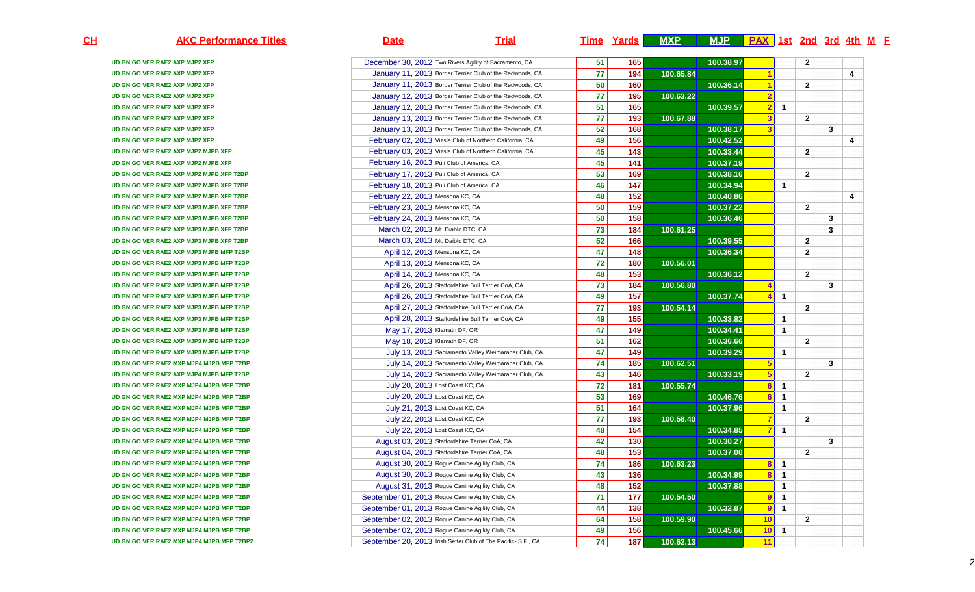| December 30, 2012 Two Rivers Agility of Sacramento, CA<br>UD GN GO VER RAE2 AXP MJP2 XFP<br>UD GN GO VER RAE2 AXP MJP2 XFP<br>UD GN GO VER RAE2 AXP MJP2 XFP<br>UD GN GO VER RAE2 AXP MJP2 XFP<br>UD GN GO VER RAE2 AXP MJP2 XFP<br>UD GN GO VER RAE2 AXP MJP2 XFP<br>UD GN GO VER RAE2 AXP MJP2 XFP<br>February 02, 2013 Vizsla Club of Northern California, CA<br>UD GN GO VER RAE2 AXP MJP2 XFP | January 11, 2013 Border Terrier Club of the Redwoods, CA<br>January 11, 2013 Border Terrier Club of the Redwoods, CA<br>January 12, 2013 Border Terrier Club of the Redwoods, CA<br>January 12, 2013 Border Terrier Club of the Redwoods, CA<br>January 13, 2013 Border Terrier Club of the Redwoods, CA<br>January 13, 2013 Border Terrier Club of the Redwoods, CA | 51<br>77<br>50<br>77<br>51<br>77<br>52 | 165<br>194<br>160<br>195<br>165<br>193 | 100.65.84<br>100.63.22 | 100.38.97<br>100.36.14<br>100.39.57 | 1<br>$\blacktriangleleft$<br>$\overline{2}$<br>$\overline{2}$ | $\mathbf{1}$ | $\mathbf{2}$<br>$\overline{2}$ |   | 4 |
|----------------------------------------------------------------------------------------------------------------------------------------------------------------------------------------------------------------------------------------------------------------------------------------------------------------------------------------------------------------------------------------------------|----------------------------------------------------------------------------------------------------------------------------------------------------------------------------------------------------------------------------------------------------------------------------------------------------------------------------------------------------------------------|----------------------------------------|----------------------------------------|------------------------|-------------------------------------|---------------------------------------------------------------|--------------|--------------------------------|---|---|
|                                                                                                                                                                                                                                                                                                                                                                                                    |                                                                                                                                                                                                                                                                                                                                                                      |                                        |                                        |                        |                                     |                                                               |              |                                |   |   |
|                                                                                                                                                                                                                                                                                                                                                                                                    |                                                                                                                                                                                                                                                                                                                                                                      |                                        |                                        |                        |                                     |                                                               |              |                                |   |   |
|                                                                                                                                                                                                                                                                                                                                                                                                    |                                                                                                                                                                                                                                                                                                                                                                      |                                        |                                        |                        |                                     |                                                               |              |                                |   |   |
|                                                                                                                                                                                                                                                                                                                                                                                                    |                                                                                                                                                                                                                                                                                                                                                                      |                                        |                                        |                        |                                     |                                                               |              |                                |   |   |
|                                                                                                                                                                                                                                                                                                                                                                                                    |                                                                                                                                                                                                                                                                                                                                                                      |                                        |                                        |                        |                                     |                                                               |              |                                |   |   |
|                                                                                                                                                                                                                                                                                                                                                                                                    |                                                                                                                                                                                                                                                                                                                                                                      |                                        |                                        | 100.67.88              |                                     | 3                                                             |              | $\overline{2}$                 |   |   |
|                                                                                                                                                                                                                                                                                                                                                                                                    |                                                                                                                                                                                                                                                                                                                                                                      |                                        | 168                                    |                        | 100.38.17                           | $\overline{3}$                                                |              |                                | 3 |   |
|                                                                                                                                                                                                                                                                                                                                                                                                    |                                                                                                                                                                                                                                                                                                                                                                      | 49                                     | 156                                    |                        | 100.42.52                           |                                                               |              |                                |   | 4 |
| February 03, 2013 Vizsla Club of Northern California, CA<br>UD GN GO VER RAE2 AXP MJP2 MJPB XFP                                                                                                                                                                                                                                                                                                    |                                                                                                                                                                                                                                                                                                                                                                      | 45                                     | 143                                    |                        | 100.33.44                           |                                                               |              | $\overline{2}$                 |   |   |
| February 16, 2013 Puli Club of America, CA<br>UD GN GO VER RAE2 AXP MJP2 MJPB XFP                                                                                                                                                                                                                                                                                                                  |                                                                                                                                                                                                                                                                                                                                                                      | 45                                     | 141                                    |                        | 100.37.19                           |                                                               |              |                                |   |   |
| February 17, 2013 Puli Club of America, CA<br>UD GN GO VER RAE2 AXP MJP2 MJPB XFP T2BP                                                                                                                                                                                                                                                                                                             |                                                                                                                                                                                                                                                                                                                                                                      | 53                                     | 169                                    |                        | 100.38.16                           |                                                               |              | $\mathbf{2}$                   |   |   |
| February 18, 2013 Puli Club of America, CA<br>UD GN GO VER RAE2 AXP MJP2 MJPB XFP T2BP                                                                                                                                                                                                                                                                                                             |                                                                                                                                                                                                                                                                                                                                                                      | 46                                     | 147                                    |                        | 100.34.94                           |                                                               | $\mathbf{1}$ |                                |   |   |
| February 22, 2013 Mensona KC, CA<br>UD GN GO VER RAE2 AXP MJP2 MJPB XFP T2BP                                                                                                                                                                                                                                                                                                                       |                                                                                                                                                                                                                                                                                                                                                                      | 48                                     | 152                                    |                        | 100.40.86                           |                                                               |              |                                |   | 4 |
| February 23, 2013 Mensona KC, CA<br>UD GN GO VER RAE2 AXP MJP3 MJPB XFP T2BP                                                                                                                                                                                                                                                                                                                       |                                                                                                                                                                                                                                                                                                                                                                      | 50                                     | 159                                    |                        | 100.37.22                           |                                                               |              | $\overline{2}$                 |   |   |
| February 24, 2013 Mensona KC, CA<br>UD GN GO VER RAE2 AXP MJP3 MJPB XFP T2BP                                                                                                                                                                                                                                                                                                                       |                                                                                                                                                                                                                                                                                                                                                                      | 50                                     | 158                                    |                        | 100.36.46                           |                                                               |              |                                | 3 |   |
| March 02, 2013 Mt. Diablo DTC, CA<br>UD GN GO VER RAE2 AXP MJP3 MJPB XFP T2BP                                                                                                                                                                                                                                                                                                                      |                                                                                                                                                                                                                                                                                                                                                                      | 73                                     | 184                                    | 100.61.25              |                                     |                                                               |              |                                | 3 |   |
| March 03, 2013 Mt. Daiblo DTC, CA<br>UD GN GO VER RAE2 AXP MJP3 MJPB XFP T2BP                                                                                                                                                                                                                                                                                                                      |                                                                                                                                                                                                                                                                                                                                                                      | 52                                     | 166                                    |                        | 100.39.55                           |                                                               |              | $\mathbf{2}$                   |   |   |
| April 12, 2013 Mensona KC, CA<br>UD GN GO VER RAE2 AXP MJP3 MJPB MFP T2BP                                                                                                                                                                                                                                                                                                                          |                                                                                                                                                                                                                                                                                                                                                                      | 47                                     | 148                                    |                        | 100.36.34                           |                                                               |              | $\overline{2}$                 |   |   |
| April 13, 2013 Mensona KC, CA<br>UD GN GO VER RAE2 AXP MJP3 MJPB MFP T2BP                                                                                                                                                                                                                                                                                                                          |                                                                                                                                                                                                                                                                                                                                                                      | 72                                     | 180                                    | 100.56.01              |                                     |                                                               |              |                                |   |   |
| April 14, 2013 Mensona KC, CA<br>UD GN GO VER RAE2 AXP MJP3 MJPB MFP T2BP                                                                                                                                                                                                                                                                                                                          |                                                                                                                                                                                                                                                                                                                                                                      | 48                                     | $\frac{1}{153}$                        |                        | 100.36.12                           |                                                               |              | $\overline{2}$                 |   |   |
| April 26, 2013 Staffordshire Bull Terrier CoA, CA<br>UD GN GO VER RAE2 AXP MJP3 MJPB MFP T2BP                                                                                                                                                                                                                                                                                                      |                                                                                                                                                                                                                                                                                                                                                                      | 73                                     | 184                                    | 100.56.80              |                                     | Z                                                             |              |                                | 3 |   |
| April 26, 2013 Staffordshire Bull Terrier CoA, CA<br>UD GN GO VER RAE2 AXP MJP3 MJPB MFP T2BP                                                                                                                                                                                                                                                                                                      |                                                                                                                                                                                                                                                                                                                                                                      | 49                                     | 157                                    |                        | 100.37.74                           | 4                                                             | $\mathbf{1}$ |                                |   |   |
| UD GN GO VER RAE2 AXP MJP3 MJPB MFP T2BP                                                                                                                                                                                                                                                                                                                                                           | April 27, 2013 Staffordshire Bull Terrier CoA, CA                                                                                                                                                                                                                                                                                                                    | 77                                     | 193                                    | 100.54.14              |                                     |                                                               |              | $\mathbf{2}$                   |   |   |
| April 28, 2013 Staffordshire Bull Terrier CoA, CA<br>UD GN GO VER RAE2 AXP MJP3 MJPB MFP T2BP                                                                                                                                                                                                                                                                                                      |                                                                                                                                                                                                                                                                                                                                                                      | 49                                     | 155                                    |                        | 100.33.82                           |                                                               | $\mathbf{1}$ |                                |   |   |
| May 17, 2013 Klamath DF, OR<br>UD GN GO VER RAE2 AXP MJP3 MJPB MFP T2BP                                                                                                                                                                                                                                                                                                                            |                                                                                                                                                                                                                                                                                                                                                                      | 47                                     | 149                                    |                        | 100.34.41                           |                                                               | $\mathbf{1}$ |                                |   |   |
| May 18, 2013 Klamath DF, OR<br>UD GN GO VER RAE2 AXP MJP3 MJPB MFP T2BP                                                                                                                                                                                                                                                                                                                            |                                                                                                                                                                                                                                                                                                                                                                      | 51                                     | 162                                    |                        | 100.36.66                           |                                                               |              | $\overline{2}$                 |   |   |
| UD GN GO VER RAE2 AXP MJP3 MJPB MFP T2BP                                                                                                                                                                                                                                                                                                                                                           | July 13, 2013 Sacramento Valley Weimaraner Club, CA                                                                                                                                                                                                                                                                                                                  | 47                                     | 149                                    |                        | 100.39.29                           |                                                               | $\mathbf{1}$ |                                |   |   |
| UD GN GO VER RAE2 MXP MJP4 MJPB MFP T2BP                                                                                                                                                                                                                                                                                                                                                           | July 14, 2013 Sacramento Valley Weimaraner Club, CA                                                                                                                                                                                                                                                                                                                  | 74                                     | 185                                    | 100.62.51              |                                     | $\sqrt{5}$                                                    |              |                                | 3 |   |
| UD GN GO VER RAE2 AXP MJP4 MJPB MFP T2BP                                                                                                                                                                                                                                                                                                                                                           | July 14, 2013 Sacramento Valley Weimaraner Club, CA                                                                                                                                                                                                                                                                                                                  | 43                                     | 146                                    |                        | 100.33.19                           | 5                                                             |              | $\mathbf{2}$                   |   |   |
| July 20, 2013 Lost Coast KC, CA<br>UD GN GO VER RAE2 MXP MJP4 MJPB MFP T2BP                                                                                                                                                                                                                                                                                                                        |                                                                                                                                                                                                                                                                                                                                                                      | 72                                     | 181                                    | 100.55.74              |                                     | $6\phantom{1}6$                                               | $\mathbf{1}$ |                                |   |   |
| July 20, 2013 Lost Coast KC, CA<br>UD GN GO VER RAE2 MXP MJP4 MJPB MFP T2BP                                                                                                                                                                                                                                                                                                                        |                                                                                                                                                                                                                                                                                                                                                                      | 53                                     | 169                                    |                        | 100.46.76                           | 6                                                             | $\mathbf{1}$ |                                |   |   |
| July 21, 2013 Lost Coast KC, CA<br>UD GN GO VER RAE2 MXP MJP4 MJPB MFP T2BP                                                                                                                                                                                                                                                                                                                        |                                                                                                                                                                                                                                                                                                                                                                      | 51                                     | 164                                    |                        | 100.37.96                           |                                                               | $\mathbf{1}$ |                                |   |   |
| July 22, 2013 Lost Coast KC, CA<br>UD GN GO VER RAE2 MXP MJP4 MJPB MFP T2BP                                                                                                                                                                                                                                                                                                                        |                                                                                                                                                                                                                                                                                                                                                                      | 77                                     | 193                                    | 100.58.40              |                                     | 7                                                             |              | $\mathbf{2}$                   |   |   |
| July 22, 2013 Lost Coast KC, CA<br>UD GN GO VER RAE2 MXP MJP4 MJPB MFP T2BP                                                                                                                                                                                                                                                                                                                        |                                                                                                                                                                                                                                                                                                                                                                      | 48                                     | 154                                    |                        | 100.34.85                           | $\overline{7}$                                                | $\mathbf{1}$ |                                |   |   |
| August 03, 2013 Staffordshire Terrier CoA, CA<br>UD GN GO VER RAE2 MXP MJP4 MJPB MFP T2BP                                                                                                                                                                                                                                                                                                          |                                                                                                                                                                                                                                                                                                                                                                      | 42                                     | 130                                    |                        | 100.30.27                           |                                                               |              |                                | 3 |   |
| August 04, 2013 Staffordshire Terrier CoA, CA<br>UD GN GO VER RAE2 MXP MJP4 MJPB MFP T2BP                                                                                                                                                                                                                                                                                                          |                                                                                                                                                                                                                                                                                                                                                                      | 48                                     | 153                                    |                        | 100.37.00                           |                                                               |              | $\overline{2}$                 |   |   |
| August 30, 2013 Rogue Canine Agility Club, CA<br>UD GN GO VER RAE2 MXP MJP4 MJPB MFP T2BP                                                                                                                                                                                                                                                                                                          |                                                                                                                                                                                                                                                                                                                                                                      | 74                                     | 186                                    | 100.63.23              |                                     | 8                                                             | $\mathbf{1}$ |                                |   |   |
| August 30, 2013 Rogue Canine Agility Club, CA<br>UD GN GO VER RAE2 MXP MJP4 MJPB MFP T2BP                                                                                                                                                                                                                                                                                                          |                                                                                                                                                                                                                                                                                                                                                                      | 43                                     | 136                                    |                        | 100.34.99                           | 8                                                             | $\mathbf{1}$ |                                |   |   |
| August 31, 2013 Rogue Canine Agility Club, CA<br>UD GN GO VER RAE2 MXP MJP4 MJPB MFP T2BP                                                                                                                                                                                                                                                                                                          |                                                                                                                                                                                                                                                                                                                                                                      | 48                                     | 152                                    |                        | 100.37.88                           |                                                               | $\mathbf{1}$ |                                |   |   |
| September 01, 2013 Rogue Canine Agility Club, CA<br>UD GN GO VER RAE2 MXP MJP4 MJPB MFP T2BP                                                                                                                                                                                                                                                                                                       |                                                                                                                                                                                                                                                                                                                                                                      | 71                                     | 177                                    | 100.54.50              |                                     | 9                                                             | $\mathbf{1}$ |                                |   |   |
| September 01, 2013 Rogue Canine Agility Club, CA<br>UD GN GO VER RAE2 MXP MJP4 MJPB MFP T2BP                                                                                                                                                                                                                                                                                                       |                                                                                                                                                                                                                                                                                                                                                                      | 44                                     | 138                                    |                        | 100.32.87                           | $\overline{9}$                                                | $\mathbf{1}$ |                                |   |   |
| September 02, 2013 Rogue Canine Agility Club, CA<br>UD GN GO VER RAE2 MXP MJP4 MJPB MFP T2BP                                                                                                                                                                                                                                                                                                       |                                                                                                                                                                                                                                                                                                                                                                      | 64                                     | 158                                    | 100.59.90              |                                     | 10                                                            |              | $\mathbf{2}$                   |   |   |
| September 02, 2013 Rogue Canine Agility Club, CA<br>UD GN GO VER RAE2 MXP MJP4 MJPB MFP T2BP                                                                                                                                                                                                                                                                                                       |                                                                                                                                                                                                                                                                                                                                                                      | 49                                     | 156                                    |                        | 100.45.66                           | 10                                                            | $\mathbf{1}$ |                                |   |   |
| September 20, 2013 Irish Setter Club of The Pacific- S.F., CA<br>UD GN GO VER RAE2 MXP MJP4 MJPB MFP T2BP2                                                                                                                                                                                                                                                                                         |                                                                                                                                                                                                                                                                                                                                                                      |                                        | 187                                    | 100.62.13              |                                     |                                                               |              |                                |   |   |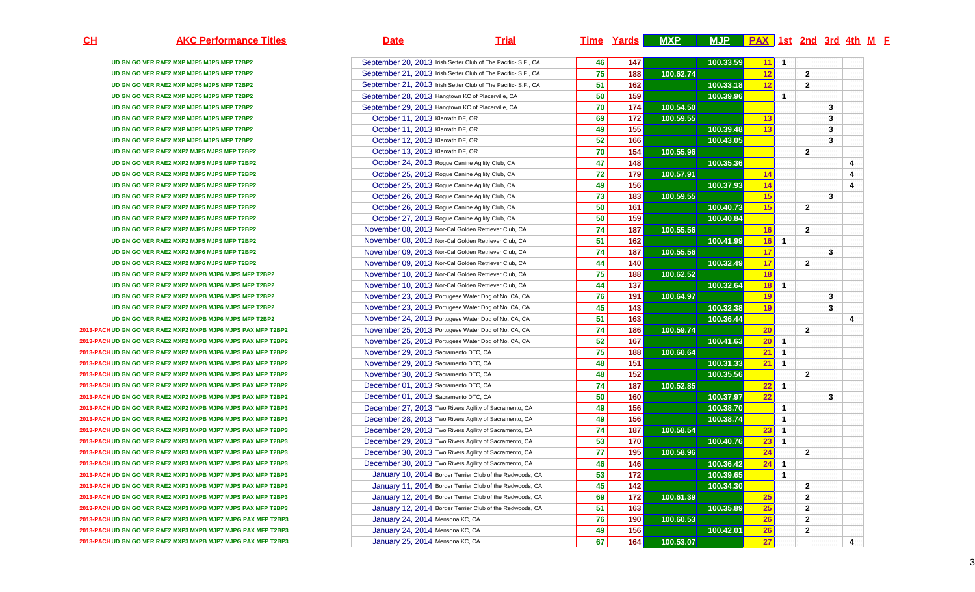**CH AKC Performance Titles Date Trial Time Yards MXP MJP PAX 1st 2nd 3rd 4th <sup>M</sup> <sup>F</sup> UD GN GO VER RAE2 MXP MJP5 MJPS MFP T2BP2**September 20, 2013 Irish Setter Club of The Pacific- S.F., CA **46 147 100.33.59**<u>11 1</u><br>12 **UD GN GO VER RAE2 MXP MJP5 MJPS MFP T2BP2**September 21, 2013 Irish Setter Club of The Pacific- S.F., CA **75 188 100.62.7412** 2 **UD GN GO VER RAE2 MXP MJP5 MJPS MFP T2BP2**September 21, 2013 Irish Setter Club of The Pacific- S.F., CA **51 162 100.33.18**8 12 2 **UD GN GO VER RAE2 MXP MJP5 MJPS MFP T2BP2**September 28, 2013 Hangtown KC of Placerville, CA A <mark>50 159</mark> 100.39.96 **<sup>1</sup> UD GN GO VER RAE2 MXP MJP5 MJPS MFP T2BP2**September 29, 2013 Hangtown KC of Placerville, CA **70 174 100.54.50 <sup>3</sup> UD GN GO VER RAE2 MXP MJP5 MJPS MFP T2BP2** October 11, 2013 Klamath DF, OR **69 172 100.59.55**<u>13 **13 14 14 14 14 14 14 14 14 14 14 1** 1</u> **UD GN GO VER RAE2 MXP MJP5 MJPS MFP T2BP2** October 11, 2013 Klamath DF, OR **49 155 100.39.4813** 3 **UD GN GO VER RAE2 MXP MJP5 MJPS MFP T2BP2** October 12, 2013 Klamath DF, ORR<sub>2</sub> 1900.43.05 **<sup>3</sup> UD GN GO VER RAE2 MXP2 MJP5 MJPS MFP T2BP2** October 13, 2013 Klamath DF, OR **70 154 100.55.96 <sup>2</sup> UD GN GO VER RAE2 MXP2 MJP5 MJPS MFP T2BP2** October 24, 2013 Rogue Canine Agility Club, CA **47 148 100.35.36 <sup>4</sup> UD GN GO VER RAE2 MXP2 MJP5 MJPS MFP T2BP2**October 25, 2013 Rogue Canine Agility Club, CA **72 179 100.57.911 14 14 14 14 14 UD GN GO VER RAE2 MXP2 MJP5 MJPS MFP T2BP2** October 25, 2013 Rogue Canine Agility Club, CAA 100.37.93 **14 14 14 1 UD GN GO VER RAE2 MXP2 MJP5 MJPS MFP T2BP2** October 26, 2013 Rogue Canine Agility Club, CA **73 183 100.59.55**<u>15 **15** 111 11 13</u> **UD GN GO VER RAE2 MXP2 MJP5 MJPS MFP T2BP2** October 26, 2013 Rogue Canine Agility Club, CAA 100.40.73 100.40.73**6 15 160.40.84 UD GN GO VER RAE2 MXP2 MJP5 MJPS MFP T2BP2** October 27, 2013 Rogue Canine Agility Club, CAA 100.40.84 **UD GN GO VER RAE2 MXP2 MJP5 MJPS MFP T2BP2** November 08, 2013 Nor-Cal Golden Retriever Club, CA **74 187 100.55.5616** 2 **UD GN GO VER RAE2 MXP2 MJP5 MJPS MFP T2BP2** November 08, 2013 Nor-Cal Golden Retriever Club, CA **51 162 100.41.99**100.41.99 16 1<br>17 17 **UD GN GO VER RAE2 MXP2 MJP6 MJPS MFP T2BP2** November 09, 2013 Nor-Cal Golden Retriever Club, CA **74 187 100.55.56 17 3 UD GN GO VER RAE2 MXP2 MJP6 MJPS MFP T2BP2** November 09, 2013 Nor-Cal Golden Retriever Club, CA140 140 100.32.49<br>**188 100.62.52**  $\overline{17}$  | 2 **UD GN GO VER RAE2 MXP2 MXPB MJP6 MJPS MFP T2BP2** November 10, 2013 Nor-Cal Golden Retriever Club, CA **75 188 100.62.52 <sup>18</sup> UD GN GO VER RAE2 MXP2 MXPB MJP6 MJPS MFP T2BP2** November 10, 2013 Nor-Cal Golden Retriever Club, CA **44 137 100.32.64**<u>18 1</u><br>19 **UD GN GO VER RAE2 MXP2 MXPB MJP6 MJPS MFP T2BP2** November 23, 2013 Portugese Water Dog of No. CA, CA **76 191 100.64.9719 19 19 19 19 19 UD GN GO VER RAE2 MXP2 MXPB MJP6 MJPS MFP T2BP2** November 23, 2013 Portugese Water Dog of No. CA, CA **45 143 100.32.3819** 3 **UD GN GO VER RAE2 MXP2 MXPB MJP6 MJPS MFP T2BP2** November 24, 2013 Portugese Water Dog of No. CA, CA **51 163 100.36.44 <sup>4</sup> 2013-PACHUD GN GO VER RAE2 MXP2 MXPB MJP6 MJPS PAX MFP T2BP2** November 25, 2013 Portugese Water Dog of No. CA, CA **74 186 100.59.74**<mark>20 20</mark> 22 **2013-PACHUD GN GO VER RAE2 MXP2 MXPB MJP6 MJPS PAX MFP T2BP2** November 25, 2013 Portugese Water Dog of No. CA, CA **52 167 100.41.63**100.41.63<sup>20</sup> 1<br>21 1 **2013-PACHUD GN GO VER RAE2 MXP2 MXPB MJP6 MJPS PAX MFP T2BP2** November 29, 2013 Sacramento DTC, CA **75 188 100.60.644** 21 1 **2013-PACHUD GN GO VER RAE2 MXP2 MXPB MJP6 MJPS PAX MFP T2BP2** November 29, 2013 Sacramento DTC, CAA **48 151 100.31.33 21 1 2013-PACHUD GN GO VER RAE2 MXP2 MXPB MJP6 MJPS PAX MFP T2BP2** November 30, 2013 Sacramento DTC, CAA 1**60.35.56 <sup>2</sup> 2013-PACHUD GN GO VER RAE2 MXP2 MXPB MJP6 MJPS PAX MFP T2BP2**December 01, 2013 Sacramento DTC, CA **74 187 100.52.8522** 1 **2013-PACHUD GN GO VER RAE2 MXP2 MXPB MJP6 MJPS PAX MFP T2BP2**December 01, 2013 Sacramento DTC, CA A **50 160 160 100.37.97 22** 3 **2013-PACHUD GN GO VER RAE2 MXP2 MXPB MJP6 MJPS PAX MFP T2BP3**December 27, 2013 Two Rivers Agility of Sacramento, CA **49 156 100.38.70 <sup>1</sup> 2013-PACHUD GN GO VER RAE2 MXP2 MXPB MJP6 MJPS PAX MFP T2BP3**December 28, 2013 Two Rivers Agility of Sacramento, CA 19 156 100.38.74<br>**14 187 100.58.54**  $\begin{array}{|c|c|c|}\n\hline\n&1 \\
\hline\n23 & 1\n\end{array}$ **2013-PACHUD GN GO VER RAE2 MXP3 MXPB MJP7 MJPS PAX MFP T2BP3**December 29, 2013 Two Rivers Agility of Sacramento, CA **74 187 100.58.544** 23 1 **2013-PACHUD GN GO VER RAE2 MXP3 MXPB MJP7 MJPS PAX MFP T2BP3**December 29, 2013 Two Rivers Agility of Sacramento, CA **53 170 100.40.76** $\begin{array}{|c|c|c|}\n\hline\n23 & 1 \\
\hline\n24 & & \hline\n\end{array}$ **2013-PACHUD GN GO VER RAE2 MXP3 MXPB MJP7 MJPS PAX MFP T2BP3**December 30, 2013 Two Rivers Agility of Sacramento, CA **77 195 100.58.966** 24 24 **2013-PACHUD GN GO VER RAE2 MXP3 MXPB MJP7 MJPS PAX MFP T2BP3**December 30, 2013 Two Rivers Agility of Sacramento, CA A **46 146** 146 100.36.42 100.36.42 24 1 **2013-PACHUD GN GO VER RAE2 MXP3 MXPB MJP7 MJPS PAX MFP T2BP3**January 10, 2014 Border Terrier Club of the Redwoods, CA **53 172 100.39.65 <sup>1</sup> 2013-PACHUD GN GO VER RAE2 MXP3 MXPB MJP7 MJPS PAX MFP T2BP3**January 11, 2014 Border Terrier Club of the Redwoods, CA **45 142 100.34.30 <sup>2</sup> 2013-PACHUD GN GO VER RAE2 MXP3 MXPB MJP7 MJPS PAX MFP T2BP3**January 12, 2014 Border Terrier Club of the Redwoods, CA **69 172 100.61.392 25** 22 **2013-PACHUD GN GO VER RAE2 MXP3 MXPB MJP7 MJPS PAX MFP T2BP3**January 12, 2014 Border Terrier Club of the Redwoods, CA **51 163 100.35.89** $\begin{array}{|c|c|c|}\n\hline\n25 & 2 \\
\hline\n26 & 2 \\
\hline\n\end{array}$ **2013-PACHUD GN GO VER RAE2 MXP3 MXPB MJP7 MJPG PAX MFP T2BP3**January 24, 2014 Mensona KC, CA **76 190 100.60.53**<mark>26</mark> 26 26 22 **2013-PACHUD GN GO VER RAE2 MXP3 MXPB MJP7 MJPG PAX MFP T2BP3**January 24, 2014 Mensona KC, CA A 100.42.01 100.42.01 26 27 27

January 25, 2014 Mensona KC, CA

**67 164 100.53.07**

**27** 14

**2013-PACHUD GN GO VER RAE2 MXP3 MXPB MJP7 MJPG PAX MFP T2BP3**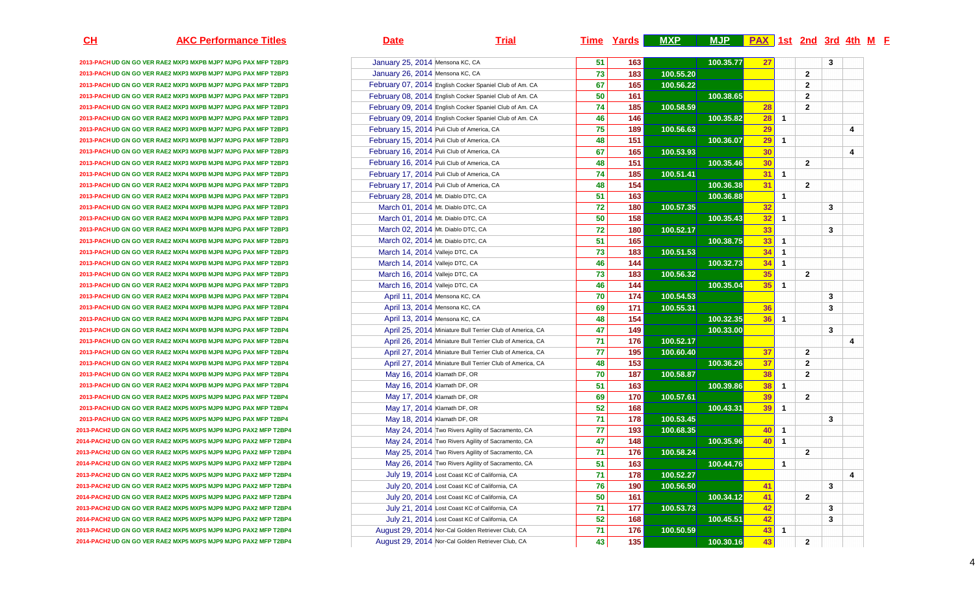| <u>CH</u> | <b>AKC Performance Titles</b>                                   | <b>Trial</b><br><u>Date</u>                               |                 |                 | Time Yards MXP | <u>MJP   PAX   1st 2nd 3rd 4th M F</u> |    |              |                |              |                         |
|-----------|-----------------------------------------------------------------|-----------------------------------------------------------|-----------------|-----------------|----------------|----------------------------------------|----|--------------|----------------|--------------|-------------------------|
|           | 2013-PACH UD GN GO VER RAE2 MXP3 MXPB MJP7 MJPG PAX MFP T2BP3   | January 25, 2014 Mensona KC, CA                           | 51              | 163             |                | 100.35.77                              | 27 |              |                | 3            |                         |
|           | 2013-PACH UD GN GO VER RAE2 MXP3 MXPB MJP7 MJPG PAX MFP T2BP3   | January 26, 2014 Mensona KC, CA                           | 73              | 183             | 100.55.20      |                                        |    |              | $\overline{2}$ |              |                         |
|           | 2013-PACH UD GN GO VER RAE2 MXP3 MXPB MJP7 MJPG PAX MFP T2BP3   | February 07, 2014 English Cocker Spaniel Club of Am. CA   | 67              | 165             | 100.56.22      |                                        |    |              | $\overline{2}$ |              |                         |
|           | 2013-PACH UD GN GO VER RAE2 MXP3 MXPB MJP7 MJPG PAX MFP T2BP3   | February 08, 2014 English Cocker Spaniel Club of Am. CA   | 50              | 161             |                | 100.38.65                              |    |              | $\overline{2}$ |              |                         |
|           | 2013-PACH UD GN GO VER RAE2 MXP3 MXPB MJP7 MJPG PAX MFP T2BP3   | February 09, 2014 English Cocker Spaniel Club of Am. CA   | 74              | 185             | 100.58.59      |                                        | 28 |              | $\overline{2}$ |              |                         |
|           | 2013-PACH UD GN GO VER RAE2 MXP3 MXPB MJP7 MJPG PAX MFP T2BP3   | February 09, 2014 English Cocker Spaniel Club of Am. CA   | 46              | 146             |                | 100.35.82                              | 28 | $\mathbf{1}$ |                |              |                         |
|           | 2013-PACH UD GN GO VER RAE2 MXP3 MXPB MJP7 MJPG PAX MFP T2BP3   | February 15, 2014 Puli Club of America, CA                | 75              | 189             | 100.56.63      |                                        | 29 |              |                |              | $\overline{\mathbf{4}}$ |
|           | 2013-PACH UD GN GO VER RAE2 MXP3 MXPB MJP7 MJPG PAX MFP T2BP3   | February 15, 2014 Puli Club of America, CA                | 48              | 151             |                | 100.36.07                              | 29 | $\mathbf{1}$ |                |              |                         |
|           | 2013-PACH UD GN GO VER RAE2 MXP3 MXPB MJP7 MJPG PAX MFP T2BP3   | February 16, 2014 Puli Club of America, CA                | 67              | 165             | 100.53.93      |                                        | 30 |              |                |              | $\overline{4}$          |
|           | 2013-PACH UD GN GO VER RAE2 MXP3 MXPB MJP8 MJPG PAX MFP T2BP3   | February 16, 2014 Puli Club of America, CA                | 48              | 151             |                | 100.35.46                              | 30 |              | $\mathbf{2}$   |              |                         |
|           | 2013-PACHUD GN GO VER RAE2 MXP4 MXPB MJP8 MJPG PAX MFP T2BP3    | February 17, 2014 Puli Club of America, CA                | 74              | 185             | 100.51.41      |                                        | 31 | $\mathbf{1}$ |                |              |                         |
|           | 2013-PACH UD GN GO VER RAE2 MXP4 MXPB MJP8 MJPG PAX MFP T2BP3   | February 17, 2014 Puli Club of America, CA                | 48              | 154             |                | 100.36.38                              | 31 |              | $\overline{2}$ |              |                         |
|           | 2013-PACHUD GN GO VER RAE2 MXP4 MXPB MJP8 MJPG PAX MFP T2BP3    | February 28, 2014 Mt. Diablo DTC, CA                      | 51              | 163             |                | 100.36.88                              |    | $\mathbf{1}$ |                |              |                         |
|           | 2013-PACHUD GN GO VER RAE2 MXP4 MXPB MJP8 MJPG PAX MFP T2BP3    | March 01, 2014 Mt. Diablo DTC, CA                         | 72              | 180             | 100.57.35      |                                        | 32 |              |                | 3            |                         |
|           | 2013-PACHUD GN GO VER RAE2 MXP4 MXPB MJP8 MJPG PAX MFP T2BP3    | March 01, 2014 Mt. Diablo DTC, CA                         | 50              | 158             |                | 100.35.43                              | 32 | 1            |                |              |                         |
|           | 2013-PACHUD GN GO VER RAE2 MXP4 MXPB MJP8 MJPG PAX MFP T2BP3    | March 02, 2014 Mt. Diablo DTC, CA                         | $72$            | 180             | 100.52.17      |                                        | 33 |              |                | 3            |                         |
|           | 2013-PACH UD GN GO VER RAE2 MXP4 MXPB MJP8 MJPG PAX MFP T2BP3   | March 02, 2014 Mt. Diablo DTC, CA                         | 51              | 165             |                | 100.38.75                              | 33 | $\mathbf{1}$ |                |              |                         |
|           | 2013-PACHUD GN GO VER RAE2 MXP4 MXPB MJP8 MJPG PAX MFP T2BP3    | March 14, 2014 Vallejo DTC, CA                            | 73              | 183             | 100.51.53      |                                        | 34 | $\mathbf{1}$ |                |              |                         |
|           | 2013-PACHUD GN GO VER RAE2 MXP4 MXPB MJP8 MJPG PAX MFP T2BP3    | March 14, 2014 Vallejo DTC, CA                            | 46              | 144             |                | 100.32.73                              | 34 | $\mathbf{1}$ |                |              |                         |
|           | 2013-PACH UD GN GO VER RAE2 MXP4 MXPB MJP8 MJPG PAX MFP T2BP3   | March 16, 2014 Vallejo DTC, CA                            | $\overline{73}$ | 183             | 100.56.32      |                                        | 35 |              | $\overline{2}$ |              |                         |
|           | 2013-PACHUD GN GO VER RAE2 MXP4 MXPB MJP8 MJPG PAX MFP T2BP3    | March 16, 2014 Vallejo DTC, CA                            | 46              | 144             |                | 100.35.04                              | 35 | $\mathbf{1}$ |                |              |                         |
|           | 2013-PACH UD GN GO VER RAE2 MXP4 MXPB MJP8 MJPG PAX MFP T2BP4   | April 11, 2014 Mensona KC, CA                             | 70              | 174             | 100.54.53      |                                        |    |              |                | 3            |                         |
|           | 2013-PACH UD GN GO VER RAE2 MXP4 MXPB MJP8 MJPG PAX MFP T2BP4   | April 13, 2014 Mensona KC, CA                             | 69              | 171             | 100.55.31      |                                        | 36 |              |                | 3            |                         |
|           | 2013-PACH UD GN GO VER RAE2 MXP4 MXPB MJP8 MJPG PAX MFP T2BP4   | April 13, 2014 Mensona KC, CA                             | 48              | 154             |                | 100.32.35                              | 36 | $\mathbf{1}$ |                |              |                         |
|           | 2013-PACHUD GN GO VER RAE2 MXP4 MXPB MJP8 MJPG PAX MFP T2BP4    | April 25, 2014 Miniature Bull Terrier Club of America, CA | 47              | 149             |                | 100.33.00                              |    |              |                | $\mathbf{3}$ |                         |
|           | 2013-PACH UD GN GO VER RAE2 MXP4 MXPB MJP8 MJPG PAX MFP T2BP4   | April 26, 2014 Miniature Bull Terrier Club of America, CA | 71              | 176             | 100.52.17      |                                        |    |              |                |              | $\overline{4}$          |
|           | 2013-PACH UD GN GO VER RAE2 MXP4 MXPB MJP8 MJPG PAX MFP T2BP4   | April 27, 2014 Miniature Bull Terrier Club of America, CA | 77              | 195             | 100.60.40      |                                        | 37 |              | $\mathbf{2}$   |              |                         |
|           | 2013-PACHUD GN GO VER RAE2 MXP4 MXPB MJP8 MJPG PAX MFP T2BP4    | April 27, 2014 Miniature Bull Terrier Club of America, CA | 48              | 153             |                | 100.36.26                              | 37 |              | $\overline{2}$ |              |                         |
|           | 2013-PACHUD GN GO VER RAE2 MXP4 MXPB MJP9 MJPG PAX MFP T2BP4    | May 16, 2014 Klamath DF, OR                               | 70              | 187             | 100.58.87      |                                        | 38 |              | $\overline{2}$ |              |                         |
|           | 2013-PACHUD GN GO VER RAE2 MXP4 MXPB MJP9 MJPG PAX MFP T2BP4    | May 16, 2014 Klamath DF, OR                               | 51              | 163             |                | 100.39.86                              | 38 | $\mathbf{1}$ |                |              |                         |
|           | 2013-PACH UD GN GO VER RAE2 MXP5 MXPS MJP9 MJPG PAX MFP T2BP4   | May 17, 2014 Klamath DF, OR                               | 69              | $\frac{1}{170}$ | 100.57.61      |                                        | 39 |              | $\overline{2}$ |              |                         |
|           | 2013-PACH UD GN GO VER RAE2 MXP5 MXPS MJP9 MJPG PAX MFP T2BP4   | May 17, 2014 Klamath DF, OR                               | 52              | 168             |                | 100.43.31                              | 39 | $\mathbf{1}$ |                |              |                         |
|           | 2013-PACH UD GN GO VER RAE2 MXP5 MXPS MJP9 MJPG PAX MFP T2BP4   | May 18, 2014 Klamath DF, OR                               | 71              | 178             | 100.53.45      |                                        |    |              |                | 3            |                         |
|           | 2013-PACH2 UD GN GO VER RAE2 MXP5 MXPS MJP9 MJPG PAX2 MFP T2BP4 | May 24, 2014 Two Rivers Agility of Sacramento, CA         | 77              | 193             | 100.68.35      |                                        | 40 | $\mathbf{1}$ |                |              |                         |
|           | 2014-PACH2 UD GN GO VER RAE2 MXP5 MXPS MJP9 MJPG PAX2 MFP T2BP4 | May 24, 2014 Two Rivers Agility of Sacramento, CA         | 47              | 148             |                | 100.35.96                              | 40 | $\mathbf{1}$ |                |              |                         |
|           | 2013-PACH2 UD GN GO VER RAE2 MXP5 MXPS MJP9 MJPG PAX2 MFP T2BP4 | May 25, 2014 Two Rivers Agility of Sacramento, CA         | 71              | 176             | 100.58.24      |                                        |    |              | $\mathbf{2}$   |              |                         |
|           | 2014-PACH2 UD GN GO VER RAE2 MXP5 MXPS MJP9 MJPG PAX2 MFP T2BP4 | May 26, 2014 Two Rivers Agility of Sacramento, CA         | 51              | 163             |                | 100.44.76                              |    | $\mathbf 1$  |                |              |                         |
|           | 2013-PACH2 UD GN GO VER RAE2 MXP5 MXPS MJP9 MJPG PAX2 MFP T2BP4 | July 19, 2014 Lost Coast KC of California, CA             |                 | 178             | 100.52.27      |                                        |    |              |                |              | 4                       |
|           | 2013-PACH2 UD GN GO VER RAE2 MXP5 MXPS MJP9 MJPG PAX2 MFP T2BP4 | July 20, 2014 Lost Coast KC of California, CA             | 71  <br>76      | 190             | 100.56.50      |                                        | 41 |              |                | 3            |                         |
|           | 2014-PACH2 UD GN GO VER RAE2 MXP5 MXPS MJP9 MJPG PAX2 MFP T2BP4 | July 20, 2014 Lost Coast KC of California, CA             | 50              | 161             |                | 100.34.12                              | 41 |              | $\mathbf{2}$   |              |                         |
|           | 2013-PACH2 UD GN GO VER RAE2 MXP5 MXPS MJP9 MJPG PAX2 MFP T2BP4 | July 21, 2014 Lost Coast KC of California, CA             | 71              | 177             | 100.53.73      |                                        | 42 |              |                |              |                         |
|           | 2014-PACH2 UD GN GO VER RAE2 MXP5 MXPS MJP9 MJPG PAX2 MFP T2BP4 | July 21, 2014 Lost Coast KC of California, CA             | 52              | 168             |                | 100.45.51                              | 42 |              |                | 3<br>3       |                         |
|           |                                                                 |                                                           |                 |                 |                |                                        | 43 |              |                |              |                         |
|           | 2013-PACH2 UD GN GO VER RAE2 MXP5 MXPS MJP9 MJPG PAX2 MFP T2BP4 | August 29, 2014 Nor-Cal Golden Retriever Club, CA         | 71              | 176             | 100.50.59      |                                        |    | $\mathbf{1}$ |                |              |                         |
|           | 2014-PACH2 UD GN GO VER RAE2 MXP5 MXPS MJP9 MJPG PAX2 MFP T2BP4 | August 29, 2014 Nor-Cal Golden Retriever Club, CA         | 43              | 135             |                | 100.30.16                              | 43 |              | $\mathbf{2}$   |              |                         |

4

**CH**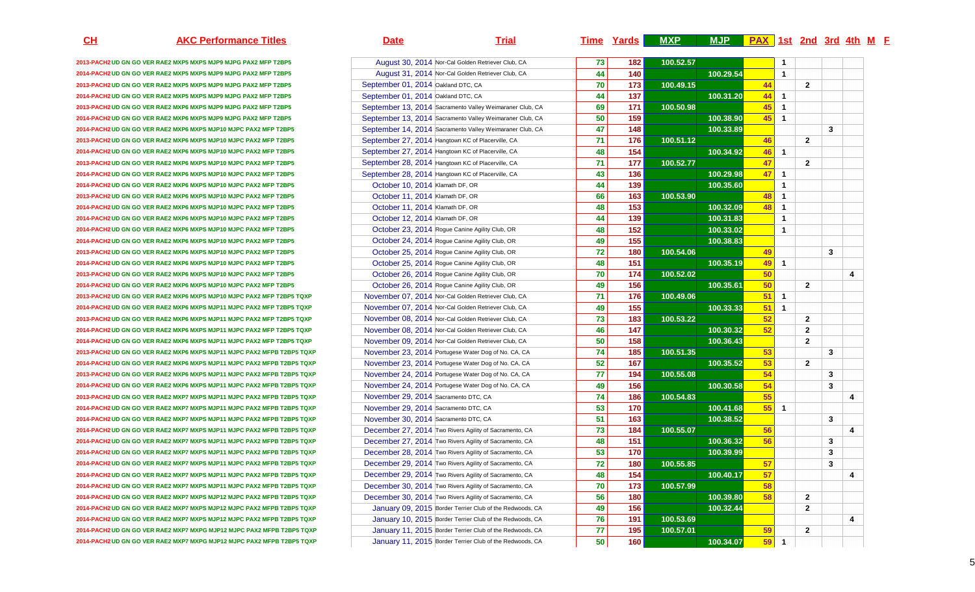| <u>CH</u> | <b>AKC Performance Titles</b>                                          | <b>Date</b>                          | <b>Trial</b>                                             |                 |                   | <u>Time Yards</u> MXP | MJP <b>PAX</b> 1st 2nd 3rd 4th M F |    |              |                |              |                  |
|-----------|------------------------------------------------------------------------|--------------------------------------|----------------------------------------------------------|-----------------|-------------------|-----------------------|------------------------------------|----|--------------|----------------|--------------|------------------|
|           | 2013-PACH2 UD GN GO VER RAE2 MXP5 MXPS MJP9 MJPG PAX2 MFP T2BP5        |                                      | August 30, 2014 Nor-Cal Golden Retriever Club, CA        | 73              | 182               | 100.52.57             |                                    |    | 1            |                |              |                  |
|           | 2014-PACH2 UD GN GO VER RAE2 MXP5 MXPS MJP9 MJPG PAX2 MFP T2BP5        |                                      | August 31, 2014 Nor-Cal Golden Retriever Club, CA        | 44              | 140               |                       | 100.29.54                          |    | $\mathbf{1}$ |                |              |                  |
|           | 2013-PACH2 UD GN GO VER RAE2 MXP5 MXPS MJP9 MJPG PAX2 MFP T2BP5        | September 01, 2014 Oakland DTC, CA   |                                                          | 70              | 173               | 100.49.15             |                                    | 44 |              | $\mathbf{2}$   |              |                  |
|           | 2014-PACH2 UD GN GO VER RAE2 MXP5 MXPS MJP9 MJPG PAX2 MFP T2BP5        | September 01, 2014 Oakland DTC, CA   |                                                          | 44              | 137               |                       | 100.31.20                          | 44 | $\mathbf{1}$ |                |              |                  |
|           | 2013-PACH2 UD GN GO VER RAE2 MXP6 MXPS MJP9 MJPG PAX2 MFP T2BP5        |                                      | September 13, 2014 Sacramento Valley Weimaraner Club, CA | 69              | 171               | 100.50.98             |                                    | 45 | $\mathbf{1}$ |                |              |                  |
|           | 2014-PACH2 UD GN GO VER RAE2 MXP6 MXPS MJP9 MJPG PAX2 MFP T2BP5        |                                      | September 13, 2014 Sacramento Valley Weimaraner Club, CA | 50              | 159               |                       | 100.38.90                          | 45 | $\mathbf{1}$ |                |              |                  |
|           | 2014-PACH2 UD GN GO VER RAE2 MXP6 MXPS MJP10 MJPC PAX2 MFP T2BP5       |                                      | September 14, 2014 Sacramento Valley Weimaraner Club, CA | 47              | 148               |                       | 100.33.89                          |    |              |                | $\mathbf{3}$ |                  |
|           | 2013-PACH2 UD GN GO VER RAE2 MXP6 MXPS MJP10 MJPC PAX2 MFP T2BP5       |                                      | September 27, 2014 Hangtown KC of Placerville, CA        | 71              | 176               | 100.51.12             |                                    | 46 |              | $\mathbf{2}$   |              |                  |
|           | 2014-PACH2 UD GN GO VER RAE2 MXP6 MXPS MJP10 MJPC PAX2 MFP T2BP5       |                                      | September 27, 2014 Hangtown KC of Placerville, CA        | 48              | 154               |                       | 100.34.92                          | 46 | $\mathbf{1}$ |                |              |                  |
|           | 2013-PACH2 UD GN GO VER RAE2 MXP6 MXPS MJP10 MJPC PAX2 MFP T2BP5       |                                      | September 28, 2014 Hangtown KC of Placerville, CA        | 71              | 177               | 100.52.77             |                                    | 47 |              | $\mathbf{2}$   |              |                  |
|           | 2014-PACH2 UD GN GO VER RAE2 MXP6 MXPS MJP10 MJPC PAX2 MFP T2BP5       |                                      | September 28, 2014 Hangtown KC of Placerville, CA        | 43              | 136               |                       | 100.29.98                          | 47 | $\mathbf{1}$ |                |              |                  |
|           | 2014-PACH2 UD GN GO VER RAE2 MXP6 MXPS MJP10 MJPC PAX2 MFP T2BP5       | October 10, 2014 Klamath DF, OR      |                                                          | 44              | 139               |                       | 100.35.60                          |    | $\mathbf{1}$ |                |              |                  |
|           | 2013-PACH2 UD GN GO VER RAE2 MXP6 MXPS MJP10 MJPC PAX2 MFP T2BP5       | October 11, 2014 Klamath DF, OR      |                                                          | 66              | 163               | 100.53.90             |                                    | 48 | $\mathbf{1}$ |                |              |                  |
|           | 2014-PACH2 UD GN GO VER RAE2 MXP6 MXPS MJP10 MJPC PAX2 MFP T2BP5       | October 11, 2014 Klamath DF, OR      |                                                          | 48              | 153               |                       | 100.32.09                          | 48 | $\mathbf{1}$ |                |              |                  |
|           | 2014-PACH2 UD GN GO VER RAE2 MXP6 MXPS MJP10 MJPC PAX2 MFP T2BP5       | October 12, 2014 Klamath DF, OR      |                                                          | 44              | 139               |                       | 100.31.83                          |    | $\mathbf{1}$ |                |              |                  |
|           | 2014-PACH2 UD GN GO VER RAE2 MXP6 MXPS MJP10 MJPC PAX2 MFP T2BP5       |                                      | October 23, 2014 Rogue Canine Agility Club, OR           | 48              | 152               |                       | 100.33.02                          |    | $\mathbf{1}$ |                |              |                  |
|           | 2014-PACH2 UD GN GO VER RAE2 MXP6 MXPS MJP10 MJPC PAX2 MFP T2BP5       |                                      | October 24, 2014 Rogue Canine Agility Club, OR           | 49              | $\frac{155}{155}$ |                       | 100.38.83                          |    |              |                |              |                  |
|           | 2013-PACH2 UD GN GO VER RAE2 MXP6 MXPS MJP10 MJPC PAX2 MFP T2BP5       |                                      | October 25, 2014 Rogue Canine Agility Club, OR           | 72              | 180               | 100.54.06             |                                    | 49 |              |                | $\mathbf{3}$ |                  |
|           | 2014-PACH2 UD GN GO VER RAE2 MXP6 MXPS MJP10 MJPC PAX2 MFP T2BP5       |                                      | October 25, 2014 Rogue Canine Agility Club, OR           | 48              | 151               |                       | 100.35.19                          | 49 | $\mathbf{1}$ |                |              |                  |
|           | 2013-PACH2 UD GN GO VER RAE2 MXP6 MXPS MJP10 MJPC PAX2 MFP T2BP5       |                                      | October 26, 2014 Rogue Canine Agility Club, OR           | 70              | 174               | 100.52.02             |                                    | 50 |              |                |              | 4                |
|           | 2014-PACH2 UD GN GO VER RAE2 MXP6 MXPS MJP10 MJPC PAX2 MFP T2BP5       |                                      | October 26, 2014 Rogue Canine Agility Club, OR           | 49              | 156               |                       | 100.35.61                          | 50 |              | $\mathbf{2}$   |              |                  |
|           | 2013-PACH2 UD GN GO VER RAE2 MXP6 MXPS MJP10 MJPC PAX2 MFP T2BP5 TQXP  |                                      | November 07, 2014 Nor-Cal Golden Retriever Club, CA      | 71              | 176               | 100.49.06             |                                    | 51 | $\mathbf{1}$ |                |              |                  |
|           | 2014-PACH2 UD GN GO VER RAE2 MXP6 MXPS MJP11 MJPC PAX2 MFP T2BP5 TQXP  |                                      | November 07, 2014 Nor-Cal Golden Retriever Club, CA      | 49              | 155               |                       | 100.33.33                          | 51 | $\mathbf{1}$ |                |              |                  |
|           | 2013-PACH2 UD GN GO VER RAE2 MXP6 MXPS MJP11 MJPC PAX2 MFP T2BP5 TQXP  |                                      | November 08, 2014 Nor-Cal Golden Retriever Club, CA      | 73              | 183               | 100.53.22             |                                    | 52 |              | $\mathbf{2}$   |              |                  |
|           | 2014-PACH2 UD GN GO VER RAE2 MXP6 MXPS MJP11 MJPC PAX2 MFP T2BP5 TQXP  |                                      | November 08, 2014 Nor-Cal Golden Retriever Club, CA      | 46              | 147               |                       | 100.30.32                          | 52 |              | $\overline{2}$ |              |                  |
|           | 2014-PACH2 UD GN GO VER RAE2 MXP6 MXPS MJP11 MJPC PAX2 MFP T2BP5 TQXP  |                                      | November 09, 2014 Nor-Cal Golden Retriever Club, CA      | 50              | 158               |                       | 100.36.43                          |    |              | $\mathbf{2}$   |              |                  |
|           | 2013-PACH2 UD GN GO VER RAE2 MXP6 MXPS MJP11 MJPC PAX2 MFPB T2BP5 TQXP |                                      | November 23, 2014 Portugese Water Dog of No. CA, CA      | 74              | 185               | 100.51.35             |                                    | 53 |              |                | $\mathbf{3}$ |                  |
|           | 2014-PACH2 UD GN GO VER RAE2 MXP6 MXPS MJP11 MJPC PAX2 MFPB T2BP5 TQXP |                                      | November 23, 2014 Portugese Water Dog of No. CA, CA      | 52              | 167               |                       | 100.35.52                          | 53 |              | $\mathbf{2}$   |              |                  |
|           | 2013-PACH2 UD GN GO VER RAE2 MXP6 MXPS MJP11 MJPC PAX2 MFPB T2BP5 TQXP |                                      | November 24, 2014 Portugese Water Dog of No. CA, CA      | 77              | 194               | 100.55.08             |                                    | 54 |              |                | 3            |                  |
|           | 2014-PACH2 UD GN GO VER RAE2 MXP6 MXPS MJP11 MJPC PAX2 MFPB T2BP5 TQXP |                                      | November 24, 2014 Portugese Water Dog of No. CA, CA      | 49              | 156               |                       | 100.30.58                          | 54 |              |                | 3            |                  |
|           | 2013-PACH2 UD GN GO VER RAE2 MXP7 MXPS MJP11 MJPC PAX2 MFPB T2BP5 TQXP | November 29, 2014 Sacramento DTC, CA |                                                          | $\overline{74}$ | 186               | 100.54.83             |                                    | 55 |              |                |              | 4                |
|           | 2014-PACH2 UD GN GO VER RAE2 MXP7 MXPS MJP11 MJPC PAX2 MFPB T2BP5 TQXP | November 29, 2014 Sacramento DTC, CA |                                                          | 53              | 170               |                       | 100.41.68                          | 55 | 1            |                |              |                  |
|           | 2014-PACH2 UD GN GO VER RAE2 MXP7 MXPS MJP11 MJPC PAX2 MFPB T2BP5 TQXP | November 30, 2014 Sacramento DTC, CA |                                                          | 51              | 163               |                       | 100.38.52                          |    |              |                | 3            |                  |
|           | 2014-PACH2 UD GN GO VER RAE2 MXP7 MXPS MJP11 MJPC PAX2 MFPB T2BP5 TQXP |                                      | December 27, 2014 Two Rivers Agility of Sacramento, CA   | 73              | 184               | 100.55.07             |                                    | 56 |              |                |              | $\boldsymbol{4}$ |
|           | 2014-PACH2 UD GN GO VER RAE2 MXP7 MXPS MJP11 MJPC PAX2 MFPB T2BP5 TQXP |                                      | December 27, 2014 Two Rivers Agility of Sacramento, CA   | 48              | 151               |                       | 100.36.32                          | 56 |              |                | 3            |                  |
|           | 2014-PACH2 UD GN GO VER RAE2 MXP7 MXPS MJP11 MJPC PAX2 MFPB T2BP5 TQXP |                                      | December 28, 2014 Two Rivers Agility of Sacramento, CA   | 53              | 170               |                       | 100.39.99                          |    |              |                | 3            |                  |
|           | 2014-PACH2 UD GN GO VER RAE2 MXP7 MXPS MJP11 MJPC PAX2 MFPB T2BP5 TQXP |                                      | December 29, 2014 Two Rivers Agility of Sacramento, CA   | 72              | 180               | 100.55.85             |                                    | 57 |              |                | $\mathbf{3}$ |                  |
|           | 2014-PACH2 UD GN GO VER RAE2 MXP7 MXPS MJP11 MJPC PAX2 MFPB T2BP5 TQXP |                                      | December 29, 2014 Two Rivers Agility of Sacramento, CA   | 48              | 154               |                       | 100.40.17                          | 57 |              |                |              | 4                |
|           | 2014-PACH2 UD GN GO VER RAE2 MXP7 MXPS MJP11 MJPC PAX2 MFPB T2BP5 TQXP |                                      | December 30, 2014 Two Rivers Agility of Sacramento, CA   | 70              | 173               | 100.57.99             |                                    | 58 |              |                |              |                  |
|           | 2014-PACH2 UD GN GO VER RAE2 MXP7 MXPS MJP12 MJPC PAX2 MFPB T2BP5 TQXP |                                      | December 30, 2014 Two Rivers Agility of Sacramento, CA   | 56              | 180               |                       | 100.39.80                          | 58 |              | $\mathbf{2}$   |              |                  |
|           | 2014-PACH2 UD GN GO VER RAE2 MXP7 MXPS MJP12 MJPC PAX2 MFPB T2BP5 TQXP |                                      | January 09, 2015 Border Terrier Club of the Redwoods, CA | 49              | 156               |                       | 100.32.44                          |    |              | 2              |              |                  |
|           | 2014-PACH2 UD GN GO VER RAE2 MXP7 MXPS MJP12 MJPC PAX2 MFPB T2BP5 TQXP |                                      | January 10, 2015 Border Terrier Club of the Redwoods, CA | 76              | 191               | 100.53.69             |                                    |    |              |                |              | 4                |
|           | 2014-PACH2 UD GN GO VER RAE2 MXP7 MXPG MJP12 MJPC PAX2 MFPB T2BP5 TQXP |                                      | January 11, 2015 Border Terrier Club of the Redwoods, CA | 77              | 195               | 100.57.01             |                                    | 59 |              | $\mathbf{2}$   |              |                  |
|           | 2014-PACH2 UD GN GO VER RAE2 MXP7 MXPG MJP12 MJPC PAX2 MFPB T2BP5 TQXP |                                      | January 11, 2015 Border Terrier Club of the Redwoods, CA | 50              | 160               |                       | 100.34.07                          | 59 | $\mathbf{1}$ |                |              |                  |
|           |                                                                        |                                      |                                                          |                 |                   |                       |                                    |    |              |                |              |                  |

**CH**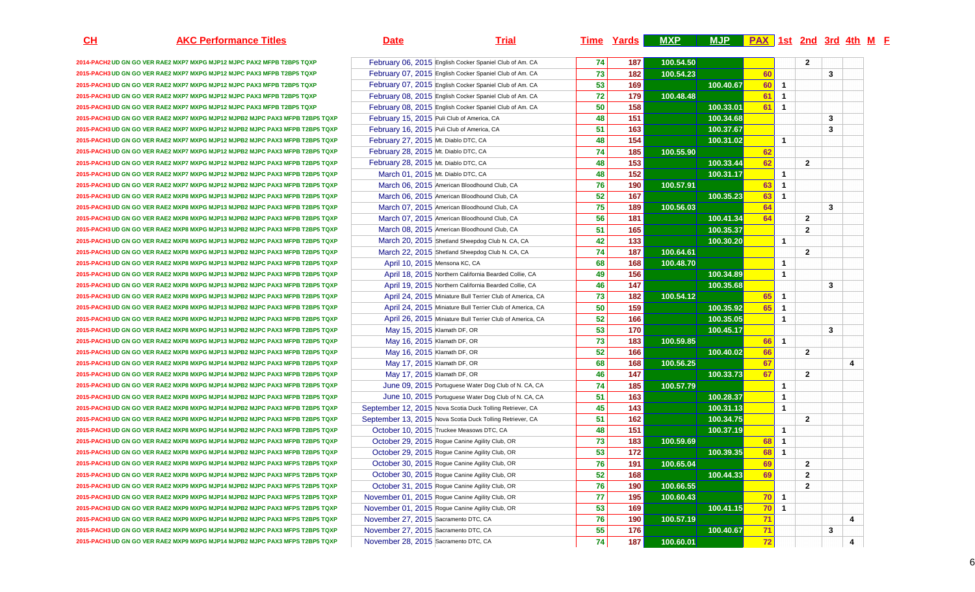**2014-PACH2 UD GN GO VER RAE2 MXP7 MXPG MJP12 MJPC PAX2 MFPB T2BP5 TQXP** February 06, 2015 English Cocker Spaniel Club of Am. CA**2015-PACH3 UD GN GO VER RAE2 MXP7 MXPG MJP12 MJPC PAX3 MFPB T2BP5 TQXP** February 07, 2015 English Cocker Spaniel Club of Am. CA**2015-PACH3 UD GN GO VER RAE2 MXP7 MXPG MJP12 MJPC PAX3 MFPB T2BP5 TQXP** February 07, 2015 English Cocker Spaniel Club of Am. CA**2015-PACH3 UD GN GO VER RAE2 MXP7 MXPG MJP12 MJPC PAX3 MFPB T2BP5 TQXP** February 08, 2015 English Cocker Spaniel Club of Am. CA2015-PACH3 UD GN GO VER RAF2 MXP7 MXPG MJP12 MJPC PAX3 MFPB T2BP5 TOXP **2015-PACH3 UD GN GO VER RAE2 MXP7 MXPG MJP12 MJPB2 MJPC PAX3 MFPB T2BP5 TQXP** February 15, 2015 Puli Club of America, CA**2015-PACH3 UD GN GO VER RAE2 MXP7 MXPG MJP12 MJPB2 MJPC PAX3 MFPB T2BP5 TQXP** February 16, 2015 Puli Club of America, CA**2015-PACH3 UD GN GO VER RAE2 MXP7 MXPG MJP12 MJPB2 MJPC PAX3 MFPB T2BP5 TQXP** February 27, 2015 Mt. Diablo DTC, CA**2015-PACH3 UD GN GO VER RAE2 MXP7 MXPG MJP12 MJPB2 MJPC PAX3 MFPB T2BP5 TQXP** February 28, 2015 Mt. Diablo DTC, CA**2015-PACH3 UD GN GO VER RAE2 MXP7 MXPG MJP12 MJPB2 MJPC PAX3 MFPB T2BP5 TQXP** February 28, 2015 Mt. Diablo DTC, CA**2015-PACH3 UD GN GO VER RAE2 MXP7 MXPG MJP12 MJPB2 MJPC PAX3 MFPB T2BP5 TQXP** March 01, 2015 Mt. Diablo DTC, CA**2015-PACH3 UD GN GO VER RAE2 MXP7 MXPG MJP12 MJPB2 MJPC PAX3 MFPB T2BP5 TQXP** March 06, 2015 American Bloodhound Club, CA**2015-PACH3 UD GN GO VER RAE2 MXP8 MXPG MJP13 MJPB2 MJPC PAX3 MFPB T2BP5 TQXP** March 06, 2015 American Bloodhound Club, CA**2015-PACH3 UD GN GO VER RAE2 MXP8 MXPG MJP13 MJPB2 MJPC PAX3 MFPB T2BP5 TQXP** March 07, 2015 American Bloodhound Club, CA**2015-PACH3 UD GN GO VER RAE2 MXP8 MXPG MJP13 MJPB2 MJPC PAX3 MFPB T2BP5 TQXP** March 07, 2015 American Bloodhound Club, CA**2015-PACH3 UD GN GO VER RAE2 MXP8 MXPG MJP13 MJPB2 MJPC PAX3 MFPB T2BP5 TQXP** March 08, 2015 American Bloodhound Club, CA**2015-PACH3 UD GN GO VER RAE2 MXP8 MXPG MJP13 MJPB2 MJPC PAX3 MFPB T2BP5 TQXP** March 20, 2015 Shetland Sheepdog Club N. CA, CA**2015-PACH3 UD GN GO VER RAE2 MXP8 MXPG MJP13 MJPB2 MJPC PAX3 MFPB T2BP5 TQXP** March 22, 2015 Shetland Sheepdog Club N. CA, CA**2015-PACH3 UD GN GO VER RAE2 MXP8 MXPG MJP13 MJPB2 MJPC PAX3 MFPB T2BP5 TQXP** April 10, 2015 Mensona KC, CA**2015-PACH3 UD GN GO VER RAE2 MXP8 MXPG MJP13 MJPB2 MJPC PAX3 MFPB T2BP5 TQXP** April 18, 2015 Northern California Bearded Collie, CA**2015-PACH3 UD GN GO VER RAE2 MXP8 MXPG MJP13 MJPB2 MJPC PAX3 MFPB T2BP5 TQXP** April 19, 2015 Northern California Bearded Collie, CA**2015-PACH3 UD GN GO VER RAE2 MXP8 MXPG MJP13 MJPB2 MJPC PAX3 MFPB T2BP5 TQXP** April 24, 2015 Miniature Bull Terrier Club of America, CA**2015-PACH3 UD GN GO VER RAE2 MXP8 MXPG MJP13 MJPB2 MJPC PAX3 MFPB T2BP5 TQXP** April 24, 2015 Miniature Bull Terrier Club of America, CA**2015-PACH3 UD GN GO VER RAE2 MXP8 MXPG MJP13 MJPB2 MJPC PAX3 MFPB T2BP5 TQXP** April 26, 2015 Miniature Bull Terrier Club of America, CA**2015-PACH3 UD GN GO VER RAE2 MXP8 MXPG MJP13 MJPB2 MJPC PAX3 MFPB T2BP5 TQXP** May 15, 2015 Klamath DF, OR**2015-PACH3 UD GN GO VER RAE2 MXP8 MXPG MJP13 MJPB2 MJPC PAX3 MFPB T2BP5 TQXP** May 16, 2015 Klamath DF, OR**2015-PACH3 UD GN GO VER RAE2 MXP8 MXPG MJP13 MJPB2 MJPC PAX3 MFPB T2BP5 TQXP** May 16, 2015 Klamath DF, OR**2015-PACH3 UD GN GO VER RAE2 MXP8 MXPG MJP14 MJPB2 MJPC PAX3 MFPB T2BP5 TQXP** May 17, 2015 Klamath DF, OR**2015-PACH3 UD GN GO VER RAE2 MXP8 MXPG MJP14 MJPB2 MJPC PAX3 MFPB T2BP5 TQXP** May 17, 2015 Klamath DF, OR**2015-PACH3 UD GN GO VER RAE2 MXP8 MXPG MJP14 MJPB2 MJPC PAX3 MFPB T2BP5 TQXP** June 09, 2015 Portuguese Water Dog Club of N. CA, CA**2015-PACH3 UD GN GO VER RAE2 MXP8 MXPG MJP14 MJPB2 MJPC PAX3 MFPB T2BP5 TQXP** June 10, 2015 Portuguese Water Dog Club of N. CA, CA2015-PACH3 UD GN GO VER RAE2 MXP8 MXPG MJP14 MJPB2 MJPC PAX3 MFPB T2BP5 TQXP September 12, 2015 Nova Scotia Duck Tolling Retriever, CA 2015-**PACH3 UD GN GO VER RAE2 MXP8 MXPG MJP14 MJPB2 MJPC PAX3 MFPB T2BP5 TQXP September 13, 2015 Nova Scotia Duck Tolling Retriever, CA 2015-PACH3 UD GN GO VER RAE2 MXP8 MXPG MJP14 MJPB2 MJPC PAX3 MFPB T2BP5 TQXP** October 10, 2015 Truckee Measows DTC, CA**2015-PACH3 UD GN GO VER RAE2 MXP8 MXPG MJP14 MJPB2 MJPC PAX3 MFPB T2BP5 TQXP** October 29, 2015 Rogue Canine Agility Club, OR**2015-PACH3 UD GN GO VER RAE2 MXP6 MXPG MJP14 MJPB2 MJPC PAX3 MFPB T2BP5 TQXP October 29, 2015 Rogue Canine Agility Club, OR 2015-PACH3 UD GN GO VER RAE2 MXP8 MXPG MJP14 MJPB2 MJPC PAX3 MFPS T2BP5 TQXP2015-PACH3 UD GN GO VER RAE2 MXP8 MXPG MJP14 MJPB2 MJPC PAX3 MFPS T2BP5 TQXP2015-PACH3 UD GN GO VER RAE2 MXP9 MXPG MJP14 MJPB2 MJPC PAX3 MFPS T2BP5 TQXP2015-PACH3 UD GN GO VER RAE2 MXP9 MXPG MJP14 MJPB2 MJPC PAX3 MFPS T2BP5 TQXP2015-PACH3 UD GN GO VER RAE2 MXP9 MXPG MJP14 MJPB2 MJPC PAX3 MFPS T2BP5 TQXP2015-PACH3 UD GN GO VER RAE2 MXP9 MXPG MJP14 MJPB2 MJPC PAX3 MFPS T2BP5 TQXP2015-PACH3 UD GN GO VER RAE2 MXP9 MXPG MJP14 MJPB2 MJPC PAX3 MFPS T2BP5 TQXP**

**2015-PACH3 UD GN GO VER RAE2 MXP9 MXPG MJP14 MJPB2 MJPC PAX3 MFPS T2BP5 TQXP**

## **AKC Performance Titles Date Trial Time Yards MXP MJP PAX 1st 2nd 3rd 4th <sup>M</sup>FAX** 1st 2nd 3rd 4th M F **February 06, 2015 English Cocker Spaniel Club of Am. CA 74 187 100.54.50 <sup>2</sup> February 07, 2015** English Cocker Spaniel Club of Am. CA **182 182 1916.54.23**<br> **73** 182 100.54.23<br> **73** 169 169 **60** 3 **53 169 100.40.67** $\begin{array}{|c|c|c|}\n\hline\n60 & 1 \\
\hline\n61 & 1\n\end{array}$ **February 08. 2015** English Cocker Spaniel Club of Am. CA **179** 179 100.48.48 **8** 61 1 February 08, 2015 English Cocker Spaniel Club of Am. CA **50 158 100.33.01 61 1 48 151 100.34.68 <sup>3</sup>** A **51 163 160.37.67 <sup>3</sup> 48 154 100.31.02**100.31.02 1 **74 185 100.55.90 <sup>62</sup>** A **48 153 100.33.44** 100.33.44 62 2<br>100.31.17 1 A **48 152 100.31.17**  $\begin{array}{|c|c|c|}\n\hline\n&1 \\
\hline\n63 & 1\n\end{array}$ March 06, 2015 American Bloodhound Club, CA **190** 190, 57.91 **63 1**  March 06, 2015 American Bloodhound Club, CA **167** 167 167 167 168.35.23<br>March 07, 2015 American Bloodhound Club, CA 169 169 169 169 169.56.03 **63 1**  March 07, 2015 American Bloodhound Club, CA **189 100.56.03** 175 189 100.56.03<br>March 07. 2015 American Bloodhound Club, CA 56 181 **64 3**  A **56 181 100.41.34 64 2**  March 08, 2015 American Bloodhound Club, CA **165** 100.35.37<br>
March 20, 2015 Shetland Sheepdog Club N. CA, CA 142 133 100.30.20 **<sup>2</sup>** March 20, 2015 Shetland Sheepdog Club N. CA, CA **120 120 133** 100.30.20 100.30.20 **<sup>1</sup>** March 22, 2015 Shetland Sheepdog Club N. CA, CA **187** 187 100.64.61 **<sup>2</sup>** April 10, 2015 Mensona KC, CA **168 168 168 100.48.70**<br>**68 168 100.48.70**<br>**68 168 168 169.2015** Northern California Bearded Collie, CA 19 156 **0** 1 **49 156 100.34.89 <sup>1</sup>** April 19, 2015 Northern California Bearded Collie, CA **147 100.35.68 100.35.68 <sup>3</sup> 73 182 100.54.122** 65 1 **50 159 100.35.92** 100.35.92 **65 1**  April 26, 2015 Miniature Bull Terrier Club of America, CA **166** 100.35.05<br>May 15, 2015 Klamath DF, OR 100.45.17 100.35.05**\_\_\_\_\_\_\_<mark>\_\_1</mark><br>100.45.17 53** 170 100.45.17 **<sup>3</sup>** R <mark>73 183 100.59.85</mark> **66** 1 **52 166 100.40.02100.40.02** 66 2 R<sub>2</sub> 100.56.25 **67** 4 R 100.33.73 **67 2 100.57.79**<br> **100.57.79**<br> **100.57.79**<br> **100.57.79**<br> **100.57.79**<br> **100.57.79 <sup>1</sup> 51 163 100.28.37 163 100.28.37 163 100.28.37 100.28.37 100.28.37 100.28.37 100.28.37 <sup>1</sup> 45 143 100.31.13 100.31.13 100.31.13 143 143 100.31.13 <sup>1</sup> 51** 162 100.34.75<br> **51 162** 100.34.75<br>
October 10. 2015 Truckee Measows DTC, CA 168 151 162 100.37.19 **<sup>2</sup>** A 1990 1991 1991 1992 1<mark>48</mark> 151 151 151 160.37.19 <mark>9</mark> <mark>1</mark> October 29, 2015 Rogue Canine Agility Club, OR **183** 183 184 100.59.69<br> **24 160.59.69**<br> **253 172** 172 **8** 1 R <mark>53 172 100.39.35</mark> 100.39.35 68 1 October 30, 2015 Rogue Canine Agility Club, OR **76 191 100.65.044** 2 **69** 2 October 30, 2015 Rogue Canine Agility Club, ORR 100.44.33 **69 2**  October 31, 2015 Rogue Canine Agility Club, OR **76 190 100.66.55 <sup>2</sup>** November 01, 2015 Rogue Canine Agility Club, OR **77 195 100.60.438 1 1 1 1 1 1**  November 01, 2015 Rogue Canine Agility Club, OR **53 169 100.41.15**100.41.15 70 1<br>
<u>71</u> November 27, 2015 Sacramento DTC, CA **76 190 100.57.19 71 4**  November 27, 2015 Sacramento DTC, CA **55 176 100.40.67** 176 100.40.67 **12** 3<br>**12**  November 28, 2015 Sacramento DTC, CA **74 187 100.60.011 72 1 1 4**

**CH**

6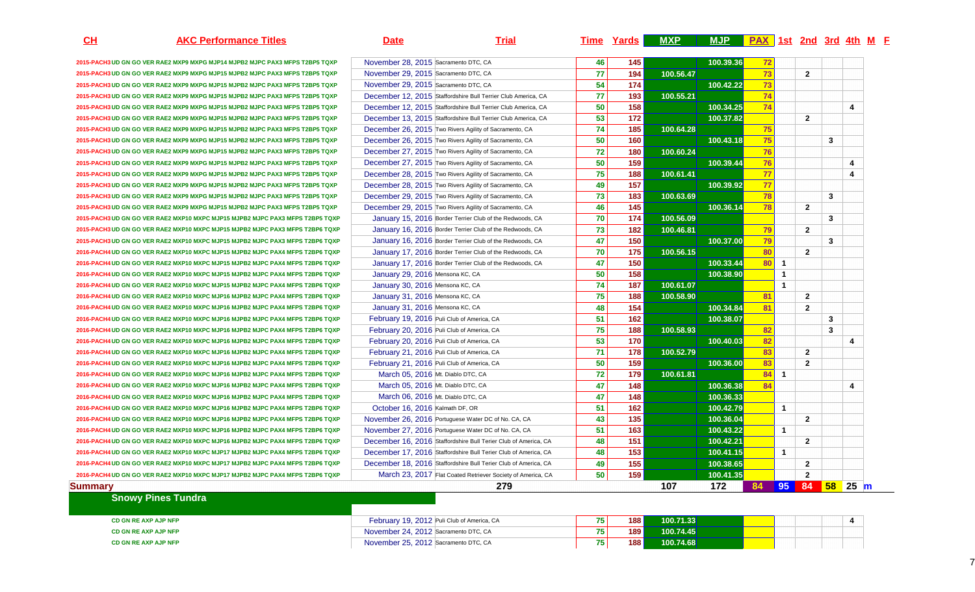| $CH$    | <b>AKC Performance Titles</b>                                                 | <b>Date</b>                          | <b>Trial</b>                                                    |                 | Time Yards    | <b>MXP</b> | MJP PAX 1st 2nd 3rd 4th M F |    |                |                |            |                         |  |
|---------|-------------------------------------------------------------------------------|--------------------------------------|-----------------------------------------------------------------|-----------------|---------------|------------|-----------------------------|----|----------------|----------------|------------|-------------------------|--|
|         | 2015-PACH3 UD GN GO VER RAE2 MXP9 MXPG MJP14 MJPB2 MJPC PAX3 MFPS T2BP5 TQXP  | November 28, 2015 Sacramento DTC, CA |                                                                 | 46              | 145           |            | 100.39.36                   | 72 |                |                |            |                         |  |
|         | 2015-PACH3 UD GN GO VER RAE2 MXP9 MXPG MJP15 MJPB2 MJPC PAX3 MFPS T2BP5 TQXP  | November 29, 2015 Sacramento DTC, CA |                                                                 | 77              | 194           | 100.56.47  |                             | 73 |                | $\overline{2}$ |            |                         |  |
|         | 2015-PACH3 UD GN GO VER RAE2 MXP9 MXPG MJP15 MJPB2 MJPC PAX3 MFPS T2BP5 TQXP  | November 29, 2015 Sacramento DTC, CA |                                                                 | 54              | 174           |            | 100.42.22                   | 73 |                |                |            |                         |  |
|         | 2015-PACH3 UD GN GO VER RAE2 MXP9 MXPG MJP15 MJPB2 MJPC PAX3 MFPS T2BP5 TQXP  |                                      | December 12, 2015 Staffordshire Bull Terrier Club America, CA   | 77              | 193           | 100.55.21  |                             | 74 |                |                |            |                         |  |
|         | 2015-PACH3 UD GN GO VER RAE2 MXP9 MXPG MJP15 MJPB2 MJPC PAX3 MFPS T2BP5 TQXP  |                                      | December 12, 2015 Staffordshire Bull Terrier Club America, CA   | 50              | 158           |            | 100.34.25                   | 74 |                |                |            | $\overline{4}$          |  |
|         | 2015-PACH3 UD GN GO VER RAE2 MXP9 MXPG MJP15 MJPB2 MJPC PAX3 MFPS T2BP5 TQXP  |                                      | December 13, 2015 Staffordshire Bull Terrier Club America, CA   | $\overline{53}$ | $\boxed{172}$ |            | 100.37.82                   |    |                | $\overline{2}$ |            |                         |  |
|         | 2015-PACH3 UD GN GO VER RAE2 MXP9 MXPG MJP15 MJPB2 MJPC PAX3 MFPS T2BP5 TQXP  |                                      | December 26, 2015 Two Rivers Agility of Sacramento, CA          | 74              | 185           | 100.64.28  |                             | 75 |                |                |            |                         |  |
|         | 2015-PACH3 UD GN GO VER RAE2 MXP9 MXPG MJP15 MJPB2 MJPC PAX3 MFPS T2BP5 TQXP  |                                      | December 26, 2015 Two Rivers Agility of Sacramento, CA          | 50              | 160           |            | 100.43.18                   | 75 |                |                | 3          |                         |  |
|         | 2015-PACH3 UD GN GO VER RAE2 MXP9 MXPG MJP15 MJPB2 MJPC PAX3 MFPS T2BP5 TQXP  |                                      | December 27, 2015 Two Rivers Agility of Sacramento, CA          | 72              | 180           | 100.60.24  |                             | 76 |                |                |            |                         |  |
|         | 2015-PACH3 UD GN GO VER RAE2 MXP9 MXPG MJP15 MJPB2 MJPC PAX3 MFPS T2BP5 TQXP  |                                      | December 27, 2015 Two Rivers Agility of Sacramento, CA          | 50              | 159           |            | 100.39.44                   | 76 |                |                |            | $\overline{\mathbf{4}}$ |  |
|         | 2015-PACH3 UD GN GO VER RAE2 MXP9 MXPG MJP15 MJPB2 MJPC PAX3 MFPS T2BP5 TQXP  |                                      | December 28, 2015 Two Rivers Agility of Sacramento, CA          | 75              | 188           | 100.61.41  |                             | 77 |                |                |            | 4                       |  |
|         | 2015-PACH3 UD GN GO VER RAE2 MXP9 MXPG MJP15 MJPB2 MJPC PAX3 MFPS T2BP5 TQXP  |                                      | December 28, 2015 Two Rivers Agility of Sacramento, CA          | 49              | 157           |            | 100.39.92                   | 77 |                |                |            |                         |  |
|         | 2015-PACH3 UD GN GO VER RAE2 MXP9 MXPG MJP15 MJPB2 MJPC PAX3 MFPS T2BP5 TQXP  |                                      | December 29, 2015 Two Rivers Agility of Sacramento, CA          | 73              | 183           | 100.63.69  |                             | 78 |                |                | 3          |                         |  |
|         | 2015-PACH3 UD GN GO VER RAE2 MXP9 MXPG MJP15 MJPB2 MJPC PAX3 MFPS T2BP5 TQXP  |                                      | December 29, 2015 Two Rivers Agility of Sacramento, CA          | 46              | 145           |            | 100.36.14                   | 78 |                | $\overline{2}$ |            |                         |  |
|         | 2015-PACH3 UD GN GO VER RAE2 MXP10 MXPC MJP15 MJPB2 MJPC PAX3 MFPS T2BP5 TQXP |                                      | January 15, 2016 Border Terrier Club of the Redwoods, CA        | 70              | 174           | 100.56.09  |                             |    |                |                | 3          |                         |  |
|         | 2015-PACH3 UD GN GO VER RAE2 MXP10 MXPC MJP15 MJPB2 MJPC PAX3 MFPS T2BP6 TQXP |                                      | January 16, 2016 Border Terrier Club of the Redwoods, CA        | 73              | 182           | 100.46.81  |                             | 79 |                | $\overline{2}$ |            |                         |  |
|         | 2015-PACH3 UD GN GO VER RAE2 MXP10 MXPC MJP15 MJPB2 MJPC PAX3 MFPS T2BP6 TQXP |                                      | January 16, 2016 Border Terrier Club of the Redwoods, CA        | 47              | 150           |            | 100.37.00                   | 79 |                |                | 3          |                         |  |
|         | 2016-PACH4 UD GN GO VER RAE2 MXP10 MXPC MJP15 MJPB2 MJPC PAX4 MFPS T2BP6 TQXP |                                      | January 17, 2016 Border Terrier Club of the Redwoods, CA        | 70              | 175           | 100.56.15  |                             | 80 |                | $\overline{2}$ |            |                         |  |
|         | 2016-PACH4 UD GN GO VER RAE2 MXP10 MXPC MJP15 MJPB2 MJPC PAX4 MFPS T2BP6 TQXP |                                      | January 17, 2016 Border Terrier Club of the Redwoods, CA        | 47              | 150           |            | 100.33.44                   | 80 | $\blacksquare$ |                |            |                         |  |
|         | 2016-PACH4 UD GN GO VER RAE2 MXP10 MXPC MJP15 MJPB2 MJPC PAX4 MFPS T2BP6 TQXP | January 29, 2016 Mensona KC, CA      |                                                                 | 50              | 158           |            | 100.38.90                   |    | $\overline{1}$ |                |            |                         |  |
|         | 2016-PACH4 UD GN GO VER RAE2 MXP10 MXPC MJP15 MJPB2 MJPC PAX4 MFPS T2BP6 TQXP | January 30, 2016 Mensona KC, CA      |                                                                 | 74              | 187           | 100.61.07  |                             |    | $\overline{1}$ |                |            |                         |  |
|         | 2016-PACH4 UD GN GO VER RAE2 MXP10 MXPC MJP16 MJPB2 MJPC PAX4 MFPS T2BP6 TQXP | January 31, 2016 Mensona KC, CA      |                                                                 | 75              | 188           | 100.58.90  |                             | 81 |                | $\overline{2}$ |            |                         |  |
|         | 2016-PACH4 UD GN GO VER RAE2 MXP10 MXPC MJP16 MJPB2 MJPC PAX4 MFPS T2BP6 TQXP | January 31, 2016 Mensona KC, CA      |                                                                 | 48              | 154           |            | 100.34.84                   | 81 |                | $\overline{2}$ |            |                         |  |
|         | 2016-PACH4 UD GN GO VER RAE2 MXP10 MXPC MJP16 MJPB2 MJPC PAX4 MFPS T2BP6 TQXP |                                      | February 19, 2016 Puli Club of America, CA                      | 51              | 162           |            | 100.38.07                   |    |                |                | 3          |                         |  |
|         | 2016-PACH4 UD GN GO VER RAE2 MXP10 MXPC MJP16 MJPB2 MJPC PAX4 MFPS T2BP6 TQXP |                                      | February 20, 2016 Puli Club of America, CA                      | 75              | 188           | 100.58.93  |                             | 82 |                |                | 3          |                         |  |
|         | 2016-PACH4 UD GN GO VER RAE2 MXP10 MXPC MJP16 MJPB2 MJPC PAX4 MFPS T2BP6 TQXP |                                      | February 20, 2016 Puli Club of America, CA                      | 53              | 170           |            | 100.40.03                   | 82 |                |                |            | 4                       |  |
|         | 2016-PACH4 UD GN GO VER RAE2 MXP10 MXPC MJP16 MJPB2 MJPC PAX4 MFPS T2BP6 TQXP |                                      | February 21, 2016 Puli Club of America, CA                      | 71              | 178           | 100.52.79  |                             | 83 |                | $\overline{2}$ |            |                         |  |
|         | 2016-PACH4 UD GN GO VER RAE2 MXP10 MXPC MJP16 MJPB2 MJPC PAX4 MFPS T2BP6 TQXP |                                      | February 21, 2016 Puli Club of America, CA                      | 50              | 159           |            | 100.36.00                   | 83 |                | $\overline{2}$ |            |                         |  |
|         | 2016-PACH4 UD GN GO VER RAE2 MXP10 MXPC MJP16 MJPB2 MJPC PAX4 MFPS T2BP6 TQXP | March 05, 2016 Mt. Diablo DTC, CA    |                                                                 | 72              | 179           | 100.61.81  |                             | 84 | -1             |                |            |                         |  |
|         | 2016-PACH4 UD GN GO VER RAE2 MXP10 MXPC MJP16 MJPB2 MJPC PAX4 MFPS T2BP6 TQXP | March 05, 2016 Mt. Diablo DTC, CA    |                                                                 | 47              | 148           |            | 100.36.38                   | 84 |                |                |            | $\overline{\mathbf{A}}$ |  |
|         | 2016-PACH4 UD GN GO VER RAE2 MXP10 MXPC MJP16 MJPB2 MJPC PAX4 MFPS T2BP6 TQXP | March 06, 2016 Mt. Diablo DTC, CA    |                                                                 | 47              | 148           |            | 100.36.33                   |    |                |                |            |                         |  |
|         | 2016-PACH4 UD GN GO VER RAE2 MXP10 MXPC MJP16 MJPB2 MJPC PAX4 MFPS T2BP6 TQXP | October 16, 2016 Kalmath DF, OR      |                                                                 | 51              | 162           |            | 100.42.79                   |    | $\overline{1}$ |                |            |                         |  |
|         | 2016-PACH4 UD GN GO VER RAE2 MXP10 MXPC MJP16 MJPB2 MJPC PAX4 MFPS T2BP6 TQXP |                                      | November 26, 2016 Portuguese Water DC of No. CA, CA             | 43              | 135           |            | 100.36.04                   |    |                | $\overline{2}$ |            |                         |  |
|         | 2016-PACH4 UD GN GO VER RAE2 MXP10 MXPC MJP16 MJPB2 MJPC PAX4 MFPS T2BP6 TQXP |                                      | November 27, 2016 Portuguese Water DC of No. CA, CA             | 51              | 163           |            | 100.43.22                   |    | $\overline{1}$ |                |            |                         |  |
|         | 2016-PACH4 UD GN GO VER RAE2 MXP10 MXPC MJP16 MJPB2 MJPC PAX4 MFPS T2BP6 TQXP |                                      | December 16, 2016 Staffordshire Bull Terier Club of America, CA | 48              | 151           |            | 100.42.21                   |    |                | $\overline{2}$ |            |                         |  |
|         | 2016-PACH4 UD GN GO VER RAE2 MXP10 MXPC MJP17 MJPB2 MJPC PAX4 MFPS T2BP6 TQXP |                                      | December 17, 2016 Staffordshire Bull Terier Club of America, CA | 48              | 153           |            | 100.41.15                   |    | $\overline{1}$ |                |            |                         |  |
|         | 2016-PACH4 UD GN GO VER RAE2 MXP10 MXPC MJP17 MJPB2 MJPC PAX4 MFPS T2BP6 TQXP |                                      | December 18, 2016 Staffordshire Bull Terier Club of America, CA | 49              | $\boxed{155}$ |            | 100.38.65                   |    |                | $\overline{2}$ |            |                         |  |
|         | 2016-PACH4 UD GN GO VER RAE2 MXP10 MXPC MJP17 MJPB2 MJPC PAX4 MFPS T2BP6 TQXP |                                      | March 23, 2017 Flat Coated Retriever Society of America, CA     | 50              | 159           |            | 100.41.35                   |    |                | $\overline{2}$ |            |                         |  |
| Summary |                                                                               |                                      | 279                                                             |                 |               | 107        | 172                         | 84 | 95             |                | 84 58 25 m |                         |  |
|         | <b>Snowy Pines Tundra</b>                                                     |                                      |                                                                 |                 |               |            |                             |    |                |                |            |                         |  |
|         | CD GN RE AXP AJP NFP                                                          |                                      | February 19, 2012 Puli Club of America, CA                      | 75              | 188           | 100.71.33  |                             |    |                |                |            |                         |  |
|         | CD GN RE AXP AJP NFP                                                          | November 24, 2012 Sacramento DTC, CA |                                                                 | 75              | 189           | 100.74.45  |                             |    |                |                |            |                         |  |
|         | CD GN RE AXP AJP NFP                                                          | November 25, 2012 Sacramento DTC, CA |                                                                 | 75              | 188           | 100.74.68  |                             |    |                |                |            |                         |  |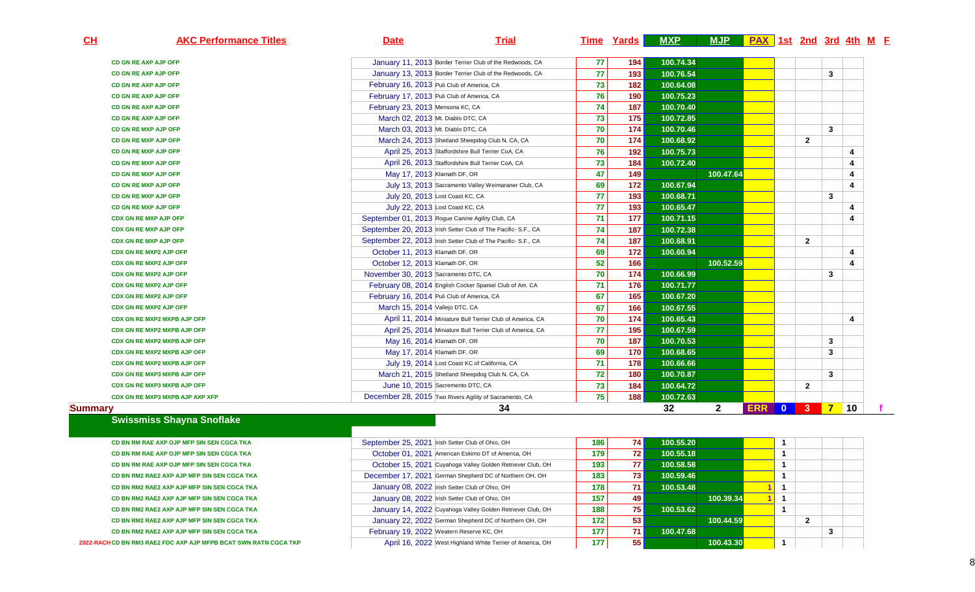| CL<br><b>AKC Performance Titles</b> | <b>Date</b>                                            | <b>Trial</b>                                                  |    | Time Yards | <b>MXP</b> | MJP PAX 1st 2nd 3rd 4th M F |            |                         |                |                  |                         |
|-------------------------------------|--------------------------------------------------------|---------------------------------------------------------------|----|------------|------------|-----------------------------|------------|-------------------------|----------------|------------------|-------------------------|
| CD GN RE AXP AJP OFP                |                                                        | January 11, 2013 Border Terrier Club of the Redwoods, CA      | 77 | 194        | 100.74.34  |                             |            |                         |                |                  |                         |
| CD GN RE AXP AJP OFP                |                                                        | January 13, 2013 Border Terrier Club of the Redwoods, CA      | 77 | 193        | 100.76.54  |                             |            |                         |                | 3                |                         |
| <b>CD GN RE AXP AJP OFP</b>         | February 16, 2013 Puli Club of America, CA             |                                                               | 73 | 182        | 100.64.08  |                             |            |                         |                |                  |                         |
| <b>CD GN RE AXP AJP OFP</b>         | February 17, 2013 Puli Club of America, CA             |                                                               | 76 | 190        | 100.75.23  |                             |            |                         |                |                  |                         |
| CD GN RE AXP AJP OFP                | February 23, 2013 Mensona KC, CA                       |                                                               | 74 | 187        | 100.70.40  |                             |            |                         |                |                  |                         |
| CD GN RE AXP AJP OFP                | March 02, 2013 Mt. Diablo DTC, CA                      |                                                               | 73 | 175        | 100.72.85  |                             |            |                         |                |                  |                         |
| <b>CD GN RE MXP AJP OFP</b>         | March 03, 2013 Mt. Diablo DTC, CA                      |                                                               | 70 | 174        | 100.70.46  |                             |            |                         |                | 3                |                         |
| <b>CD GN RE MXP AJP OFP</b>         |                                                        | March 24, 2013 Shetland Sheepdog Club N. CA, CA               | 70 | 174        | 100.68.92  |                             |            |                         | $\overline{2}$ |                  |                         |
| <b>CD GN RE MXP AJP OFP</b>         |                                                        | April 25, 2013 Staffordshire Bull Terrier CoA, CA             | 76 | 192        | 100.75.73  |                             |            |                         |                |                  | 4                       |
| <b>CD GN RE MXP AJP OFP</b>         |                                                        | April 26, 2013 Staffordshire Bull Terrier CoA, CA             | 73 | 184        | 100.72.40  |                             |            |                         |                |                  | 4                       |
| <b>CD GN RE MXP AJP OFP</b>         | May 17, 2013 Klamath DF, OR                            |                                                               | 47 | 149        |            | 100.47.64                   |            |                         |                |                  | $\overline{\mathbf{4}}$ |
| CD GN RE MXP AJP OFP                |                                                        | July 13, 2013 Sacramento Valley Weimaraner Club, CA           | 69 | 172        | 100.67.94  |                             |            |                         |                |                  | $\overline{\mathbf{4}}$ |
| <b>CD GN RE MXP AJP OFP</b>         | July 20, 2013 Lost Coast KC, CA                        |                                                               | 77 | 193        | 100.68.71  |                             |            |                         |                | 3                |                         |
| CD GN RE MXP AJP OFP                | July 22, 2013 Lost Coast KC, CA                        |                                                               | 77 | 193        | 100.65.47  |                             |            |                         |                |                  | $\overline{\mathbf{4}}$ |
| <b>CDX GN RE MXP AJP OFP</b>        | September 01, 2013 Rogue Canine Agility Club, CA       |                                                               | 71 | 177        | 100.71.15  |                             |            |                         |                |                  | 4                       |
| <b>CDX GN RE MXP AJP OFP</b>        |                                                        | September 20, 2013 Irish Setter Club of The Pacific- S.F., CA | 74 | 187        | 100.72.38  |                             |            |                         |                |                  |                         |
| <b>CDX GN RE MXP AJP OFP</b>        |                                                        | September 22, 2013 Irish Setter Club of The Pacific- S.F., CA | 74 | 187        | 100.68.91  |                             |            |                         | $\mathbf{2}$   |                  |                         |
| <b>CDX GN RE MXP2 AJP OFP</b>       | October 11, 2013 Klamath DF, OR                        |                                                               | 69 | 172        | 100.60.94  |                             |            |                         |                |                  | $\overline{\mathbf{4}}$ |
| <b>CDX GN RE MXP2 AJP OFP</b>       | October 12, 2013 Klamath DF, OR                        |                                                               | 52 | 166        |            | 100.52.59                   |            |                         |                |                  | $\overline{\mathbf{A}}$ |
| <b>CDX GN RE MXP2 AJP OFP</b>       | November 30, 2013 Sacramento DTC, CA                   |                                                               | 70 | 174        | 100.66.99  |                             |            |                         |                | 3                |                         |
| <b>CDX GN RE MXP2 AJP OFP</b>       |                                                        | February 08, 2014 English Cocker Spaniel Club of Am. CA       | 71 | 176        | 100.71.77  |                             |            |                         |                |                  |                         |
| <b>CDX GN RE MXP2 AJP OFP</b>       | February 16, 2014 Puli Club of America, CA             |                                                               | 67 | 165        | 100.67.20  |                             |            |                         |                |                  |                         |
| <b>CDX GN RE MXP2 AJP OFP</b>       | March 15, 2014 Vallejo DTC, CA                         |                                                               | 67 | 166        | 100.67.55  |                             |            |                         |                |                  |                         |
| CDX GN RE MXP2 MXPB AJP OFP         |                                                        | April 11, 2014 Miniature Bull Terrier Club of America, CA     | 70 | 174        | 100.65.43  |                             |            |                         |                |                  | 4                       |
| <b>CDX GN RE MXP2 MXPB AJP OFP</b>  |                                                        | April 25, 2014 Miniature Bull Terrier Club of America, CA     | 77 | 195        | 100.67.59  |                             |            |                         |                |                  |                         |
| <b>CDX GN RE MXP2 MXPB AJP OFP</b>  | May 16, 2014 Klamath DF, OR                            |                                                               | 70 | 187        | 100.70.53  |                             |            |                         |                | 3                |                         |
| <b>CDX GN RE MXP2 MXPB AJP OFP</b>  | May 17, 2014 Klamath DF, OR                            |                                                               | 69 | 170        | 100.68.65  |                             |            |                         |                | 3                |                         |
| CDX GN RE MXP2 MXPB AJP OFP         |                                                        | July 19, 2014 Lost Coast KC of California, CA                 | 71 | 178        | 100.66.66  |                             |            |                         |                |                  |                         |
| <b>CDX GN RE MXP3 MXPB AJP OFP</b>  |                                                        | March 21, 2015 Shetland Sheepdog Club N. CA, CA               | 72 | 180        | 100.70.87  |                             |            |                         |                | 3                |                         |
| <b>CDX GN RE MXP3 MXPB AJP OFP</b>  | June 10, 2015 Sacremento DTC, CA                       |                                                               | 73 | 184        | 100.64.72  |                             |            |                         | $\overline{2}$ |                  |                         |
| CDX GN RE MXP3 MXPB AJP AXP XFP     | December 28, 2015 Two Rivers Agility of Sacramento, CA |                                                               | 75 | 188        | 100.72.63  |                             |            |                         |                |                  |                         |
| <b>Summary</b>                      |                                                        | 34                                                            |    |            | 32         | $\mathbf{2}$                | <b>ERR</b> | $\overline{\mathbf{0}}$ | $\mathbf{3}$   | $\blacksquare$ 7 | $\blacksquare$ 10       |

| CD BN RM RAE AXP OJP MFP SIN SEN CGCA TKA                       | September 25, 2021 Irish Setter Club of Ohio, OH           | 186 | 74 I            | 100.55.20 |  |   |  |
|-----------------------------------------------------------------|------------------------------------------------------------|-----|-----------------|-----------|--|---|--|
| CD BN RM RAE AXP OJP MFP SIN SEN CGCA TKA                       | October 01, 2021 American Eskimo DT of America, OH         | 179 | 72 I            | 100.55.18 |  |   |  |
| CD BN RM RAE AXP OJP MFP SIN SEN CGCA TKA                       | October 15, 2021 Cuyahoga Valley Golden Retriever Club, OH | 193 | 77 I            | 100.58.58 |  |   |  |
| CD BN RM2 RAE2 AXP AJP MFP SIN SEN CGCA TKA                     | December 17, 2021 German Shepherd DC of Northern OH, OH    | 183 | 731             | 100.59.46 |  |   |  |
| CD BN RM2 RAE2 AXP AJP MFP SIN SEN CGCA TKA                     | January 08, 2022 Irish Setter Club of Ohio, OH             | 178 | 71 I            | 100.53.48 |  |   |  |
| CD BN RM2 RAE2 AXP AJP MFP SIN SEN CGCA TKA                     | January 08, 2022 Irish Setter Club of Ohio, OH             | 157 | 49 I            | 100.39.34 |  |   |  |
| CD BN RM2 RAE2 AXP AJP MFP SIN SEN CGCA TKA                     | January 14, 2022 Cuyahoga Valley Golden Retriever Club, OH | 188 | 75 <sub>1</sub> | 100.53.62 |  |   |  |
| CD BN RM2 RAE2 AXP AJP MFP SIN SEN CGCA TKA                     | January 22, 2022 German Shepherd DC of Northern OH, OH     | 172 | 53              | 100.44.59 |  |   |  |
| CD BN RM2 RAE2 AXP AJP MFP SIN SEN CGCA TKA                     | February 19, 2022 Weatern Reserve KC, OH                   | 177 | 71 I            | 100.47.68 |  | 3 |  |
| 2022-RACHCD BN RM3 RAE2 FDC AXP AJP MFPB BCAT SWN RATN CGCA TKP | April 16, 2022 West Highland White Terrier of America, OH  | 177 | 55              | 100.43.30 |  |   |  |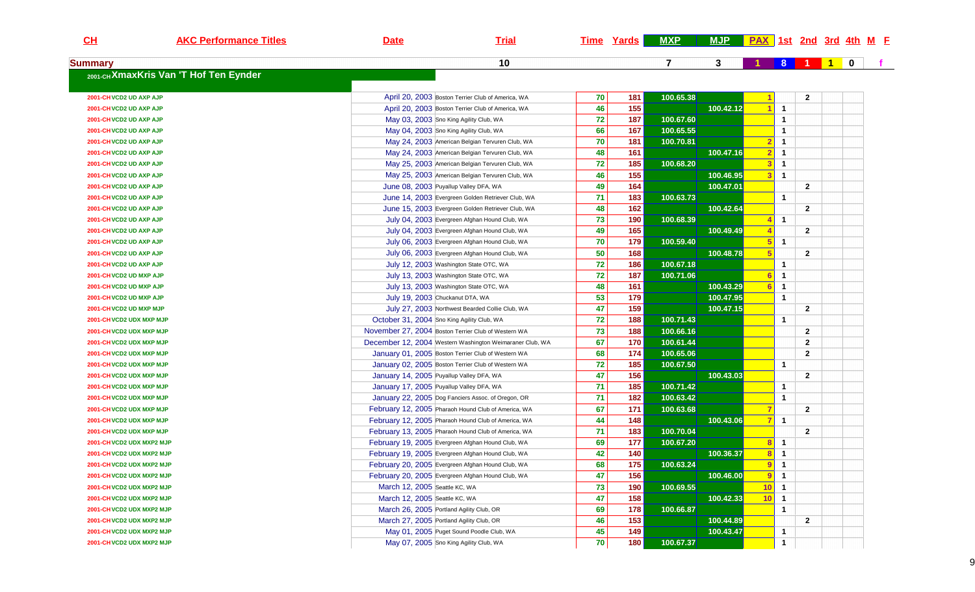| $CH$                      | <b>AKC Performance Titles</b>         | <b>Date</b>                                | <b>Trial</b>                                             |    | <u>Time Yards</u> | <b>MXP</b> | MJP PAX 1st 2nd 3rd 4th M F |                |                |                |              |             |  |
|---------------------------|---------------------------------------|--------------------------------------------|----------------------------------------------------------|----|-------------------|------------|-----------------------------|----------------|----------------|----------------|--------------|-------------|--|
| <b>Summary</b>            |                                       |                                            | 10                                                       |    |                   | 7          | 3                           |                | 8 <sup>°</sup> | -1             | $\mathbf{1}$ | $\mathbf 0$ |  |
|                           | 2001-CHXmaxKris Van 'T Hof Ten Eynder |                                            |                                                          |    |                   |            |                             |                |                |                |              |             |  |
| 2001-CHVCD2 UD AXP AJP    |                                       |                                            | April 20, 2003 Boston Terrier Club of America, WA        | 70 | 181               | 100.65.38  |                             |                |                | $\overline{2}$ |              |             |  |
| 2001-CH VCD2 UD AXP AJP   |                                       |                                            | April 20, 2003 Boston Terrier Club of America, WA        | 46 | 155               |            | 100.42.12                   |                | 1              |                |              |             |  |
| 2001-CH VCD2 UD AXP AJP   |                                       | May 03, 2003 Sno King Agility Club, WA     |                                                          | 72 | 187               | 100.67.60  |                             |                | 1              |                |              |             |  |
| 2001-CH VCD2 UD AXP AJP   |                                       | May 04, 2003 Sno King Agility Club, WA     |                                                          | 66 | 167               | 100.65.55  |                             |                | 1              |                |              |             |  |
| 2001-CH VCD2 UD AXP AJP   |                                       |                                            | May 24, 2003 American Belgian Tervuren Club, WA          | 70 | 181               | 100.70.81  |                             |                | $\mathbf 1$    |                |              |             |  |
| 2001-CH VCD2 UD AXP AJP   |                                       |                                            | May 24, 2003 American Belgian Tervuren Club, WA          | 48 | 161               |            | 100.47.16                   |                | 1              |                |              |             |  |
| 2001-CH VCD2 UD AXP AJP   |                                       |                                            | May 25, 2003 American Belgian Tervuren Club, WA          | 72 | 185               | 100.68.20  |                             |                | 1              |                |              |             |  |
| 2001-CH VCD2 UD AXP AJP   |                                       |                                            | May 25, 2003 American Belgian Tervuren Club, WA          | 46 | 155               |            | 100.46.95                   | 3              | $\mathbf{1}$   |                |              |             |  |
| 2001-CH VCD2 UD AXP AJP   |                                       | June 08, 2003 Puyallup Valley DFA, WA      |                                                          | 49 | 164               |            | 100.47.01                   |                |                | $\overline{2}$ |              |             |  |
| 2001-CH VCD2 UD AXP AJP   |                                       |                                            | June 14, 2003 Evergreen Golden Retriever Club, WA        | 71 | 183               | 100.63.73  |                             |                | 1              |                |              |             |  |
| 2001-CH VCD2 UD AXP AJP   |                                       |                                            | June 15, 2003 Evergreen Golden Retriever Club, WA        | 48 | 162               |            | 100.42.64                   |                |                | $\overline{2}$ |              |             |  |
| 2001-CH VCD2 UD AXP AJP   |                                       |                                            | July 04, 2003 Evergreen Afghan Hound Club, WA            | 73 | 190               | 100.68.39  |                             |                | 1              |                |              |             |  |
| 2001-CH VCD2 UD AXP AJP   |                                       |                                            | July 04, 2003 Evergreen Afghan Hound Club, WA            | 49 | 165               |            | 100.49.49                   |                |                | $\overline{2}$ |              |             |  |
| 2001-CH VCD2 UD AXP AJP   |                                       |                                            | July 06, 2003 Evergreen Afghan Hound Club, WA            | 70 | 179               | 100.59.40  |                             |                | 1              |                |              |             |  |
| 2001-CH VCD2 UD AXP AJP   |                                       |                                            | July 06, 2003 Evergreen Afghan Hound Club, WA            | 50 | 168               |            | 100.48.78                   | -5             |                | $\overline{2}$ |              |             |  |
| 2001-CH VCD2 UD AXP AJP   |                                       |                                            | July 12, 2003 Washington State OTC, WA                   | 72 | 186               | 100.67.18  |                             |                | 1              |                |              |             |  |
| 2001-CH VCD2 UD MXP AJP   |                                       |                                            | July 13, 2003 Washington State OTC, WA                   | 72 | 187               | 100.71.06  |                             |                | $\mathbf 1$    |                |              |             |  |
| 2001-CH VCD2 UD MXP AJP   |                                       |                                            | July 13, 2003 Washington State OTC, WA                   | 48 | 161               |            | 100.43.29                   |                | $\mathbf{1}$   |                |              |             |  |
| 2001-CH VCD2 UD MXP AJP   |                                       | July 19, 2003 Chuckanut DTA, WA            |                                                          | 53 | 179               |            | 100.47.95                   |                | $\mathbf{1}$   |                |              |             |  |
| 2001-CH VCD2 UD MXP MJP   |                                       |                                            | July 27, 2003 Northwest Bearded Collie Club, WA          | 47 | 159               |            | 100.47.15                   |                |                | $\overline{2}$ |              |             |  |
| 2001-CH VCD2 UDX MXP MJP  |                                       | October 31, 2004 Sno King Agility Club, WA |                                                          | 72 | 188               | 100.71.43  |                             |                | 1              |                |              |             |  |
| 2001-CH VCD2 UDX MXP MJP  |                                       |                                            | November 27, 2004 Boston Terrier Club of Western WA      | 73 | 188               | 100.66.16  |                             |                |                | $\overline{2}$ |              |             |  |
| 2001-CH VCD2 UDX MXP MJP  |                                       |                                            | December 12, 2004 Western Washington Weimaraner Club, WA | 67 | 170               | 100.61.44  |                             |                |                | $\mathbf{2}$   |              |             |  |
| 2001-CH VCD2 UDX MXP MJP  |                                       |                                            | January 01, 2005 Boston Terrier Club of Western WA       | 68 | 174               | 100.65.06  |                             |                |                | $\overline{2}$ |              |             |  |
| 2001-CH VCD2 UDX MXP MJP  |                                       |                                            | January 02, 2005 Boston Terrier Club of Western WA       | 72 | 185               | 100.67.50  |                             |                | 1              |                |              |             |  |
| 2001-CH VCD2 UDX MXP MJP  |                                       | January 14, 2005 Puyallup Valley DFA, WA   |                                                          | 47 | 156               |            | 100.43.03                   |                |                | $\overline{2}$ |              |             |  |
| 2001-CH VCD2 UDX MXP MJP  |                                       | January 17, 2005 Puyallup Valley DFA, WA   |                                                          | 71 | 185               | 100.71.42  |                             |                | -1             |                |              |             |  |
| 2001-CH VCD2 UDX MXP MJP  |                                       |                                            | January 22, 2005 Dog Fanciers Assoc. of Oregon, OR       | 71 | 182               | 100.63.42  |                             |                | 1              |                |              |             |  |
| 2001-CH VCD2 UDX MXP MJP  |                                       |                                            | February 12, 2005 Pharaoh Hound Club of America, WA      | 67 | 171               | 100.63.68  |                             |                |                | $\overline{2}$ |              |             |  |
| 2001-CH VCD2 UDX MXP MJP  |                                       |                                            | February 12, 2005 Pharaoh Hound Club of America, WA      | 44 | 148               |            | 100.43.06                   |                | $\mathbf{1}$   |                |              |             |  |
| 2001-CH VCD2 UDX MXP MJP  |                                       |                                            | February 13, 2005 Pharaoh Hound Club of America, WA      | 71 | 183               | 100.70.04  |                             |                |                | $\overline{2}$ |              |             |  |
| 2001-CH VCD2 UDX MXP2 MJP |                                       |                                            | February 19, 2005 Evergreen Afghan Hound Club, WA        | 69 | 177               | 100.67.20  |                             |                | $\mathbf{1}$   |                |              |             |  |
| 2001-CH VCD2 UDX MXP2 MJP |                                       |                                            | February 19, 2005 Evergreen Afghan Hound Club, WA        | 42 | 140               |            | 100.36.37                   | -8             | $\mathbf{1}$   |                |              |             |  |
| 2001-CH VCD2 UDX MXP2 MJP |                                       |                                            | February 20, 2005 Evergreen Afghan Hound Club, WA        | 68 | 175               | 100.63.24  |                             | $\overline{9}$ | $\mathbf{1}$   |                |              |             |  |
| 2001-CH VCD2 UDX MXP2 MJP |                                       |                                            | February 20, 2005 Evergreen Afghan Hound Club, WA        | 47 | 156               |            | 100.46.00                   | 9 <sup>1</sup> | $\mathbf{1}$   |                |              |             |  |
| 2001-CH VCD2 UDX MXP2 MJP |                                       | March 12, 2005 Seattle KC, WA              |                                                          | 73 | 190               | 100.69.55  |                             | 10             | $\mathbf{1}$   |                |              |             |  |
| 2001-CH VCD2 UDX MXP2 MJP |                                       | March 12, 2005 Seattle KC, WA              |                                                          | 47 | 158               |            | 100.42.33                   | 10             | $\mathbf{1}$   |                |              |             |  |
| 2001-CH VCD2 UDX MXP2 MJP |                                       | March 26, 2005 Portland Agility Club, OR   |                                                          | 69 | 178               | 100.66.87  |                             |                | $\mathbf{1}$   |                |              |             |  |
| 2001-CH VCD2 UDX MXP2 MJP |                                       | March 27, 2005 Portland Agility Club, OR   |                                                          | 46 | 153               |            | 100.44.89                   |                |                | $\overline{2}$ |              |             |  |
| 2001-CH VCD2 UDX MXP2 MJP |                                       |                                            | May 01, 2005 Puget Sound Poodle Club, WA                 | 45 | 149               |            | 100.43.47                   |                | 1              |                |              |             |  |
|                           |                                       |                                            |                                                          |    |                   |            |                             |                |                |                |              |             |  |
| 2001-CH VCD2 UDX MXP2 MJP |                                       | May 07, 2005 Sno King Agility Club, WA     |                                                          | 70 | 180               | 100.67.37  |                             |                | 1              |                |              |             |  |

 $\overline{9}$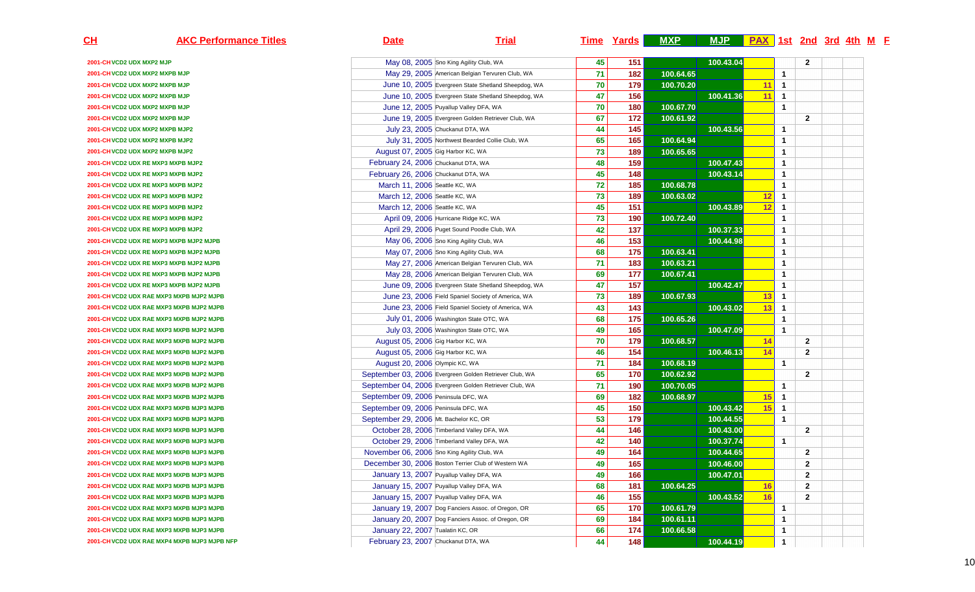| $\underline{\text{CH}}$   | <b>AKC Performance Titles</b>                | <b>Date</b>                                 | <b>Trial</b>                                           |    | <b>Time Yards</b> | <b>MXP</b> | MJP PAX 1st 2nd 3rd 4th M F |    |                |                |  |  |
|---------------------------|----------------------------------------------|---------------------------------------------|--------------------------------------------------------|----|-------------------|------------|-----------------------------|----|----------------|----------------|--|--|
| 2001-CH VCD2 UDX MXP2 MJP |                                              |                                             | May 08, 2005 Sno King Agility Club, WA                 | 45 | 151               |            | 100.43.04                   |    |                | $\overline{2}$ |  |  |
|                           | 2001-CH VCD2 UDX MXP2 MXPB MJP               |                                             | May 29, 2005 American Belgian Tervuren Club, WA        | 71 | 182               | 100.64.65  |                             |    | $\overline{1}$ |                |  |  |
|                           | 2001-CH VCD2 UDX MXP2 MXPB MJP               |                                             | June 10, 2005 Evergreen State Shetland Sheepdog, WA    | 70 | 179               | 100.70.20  |                             | 11 | $\overline{1}$ |                |  |  |
|                           | 2001-CH VCD2 UDX MXP2 MXPB MJP               |                                             | June 10, 2005 Evergreen State Shetland Sheepdog, WA    | 47 | 156               |            | 100.41.36                   | 11 | $\overline{1}$ |                |  |  |
|                           | 2001-CH VCD2 UDX MXP2 MXPB MJP               |                                             | June 12, 2005 Puyallup Valley DFA, WA                  | 70 | 180               | 100.67.70  |                             |    | $\mathbf{1}$   |                |  |  |
|                           | 2001-CH VCD2 UDX MXP2 MXPB MJP               |                                             | June 19, 2005 Evergreen Golden Retriever Club, WA      | 67 | 172               | 100.61.92  |                             |    |                | $\overline{2}$ |  |  |
|                           | 2001-CH VCD2 UDX MXP2 MXPB MJP2              |                                             | July 23, 2005 Chuckanut DTA, WA                        | 44 | 145               |            | 100.43.56                   |    | $\overline{1}$ |                |  |  |
|                           | 2001-CH VCD2 UDX MXP2 MXPB MJP2              |                                             | July 31, 2005 Northwest Bearded Collie Club, WA        | 65 | 165               | 100.64.94  |                             |    | $\overline{1}$ |                |  |  |
|                           | 2001-CH VCD2 UDX MXP2 MXPB MJP2              | August 07, 2005 Gig Harbor KC, WA           |                                                        | 73 | 189               | 100.65.65  |                             |    | $\mathbf{1}$   |                |  |  |
|                           | 2001-CH VCD2 UDX RE MXP3 MXPB MJP2           | February 24, 2006 Chuckanut DTA, WA         |                                                        | 48 | 159               |            | 100.47.43                   |    | $\mathbf{1}$   |                |  |  |
|                           | 2001-CH VCD2 UDX RE MXP3 MXPB MJP2           | February 26, 2006 Chuckanut DTA, WA         |                                                        | 45 | 148               |            | 100.43.14                   |    | $\mathbf{1}$   |                |  |  |
|                           | 2001-CH VCD2 UDX RE MXP3 MXPB MJP2           | March 11, 2006 Seattle KC, WA               |                                                        | 72 | 185               | 100.68.78  |                             |    | $\mathbf{1}$   |                |  |  |
|                           | 2001-CH VCD2 UDX RE MXP3 MXPB MJP2           | March 12, 2006 Seattle KC, WA               |                                                        | 73 | 189               | 100.63.02  |                             | 12 | $\overline{1}$ |                |  |  |
|                           | 2001-CH VCD2 UDX RE MXP3 MXPB MJP2           | March 12, 2006 Seattle KC, WA               |                                                        | 45 | 151               |            | 100.43.89                   | 12 | $\overline{1}$ |                |  |  |
|                           | 2001-CH VCD2 UDX RE MXP3 MXPB MJP2           |                                             | April 09, 2006 Hurricane Ridge KC, WA                  | 73 | 190               | 100.72.40  |                             |    | $\mathbf{1}$   |                |  |  |
|                           | 2001-CH VCD2 UDX RE MXP3 MXPB MJP2           |                                             | April 29, 2006 Puget Sound Poodle Club, WA             | 42 | 137               |            | 100.37.33                   |    | $\mathbf{1}$   |                |  |  |
|                           | 2001-CH VCD2 UDX RE MXP3 MXPB MJP2 MJPB      |                                             | May 06, 2006 Sno King Agility Club, WA                 | 46 | 153               |            | 100.44.98                   |    | $\mathbf{1}$   |                |  |  |
|                           | 2001-CH VCD2 UDX RE MXP3 MXPB MJP2 MJPB      |                                             | May 07, 2006 Sno King Agility Club, WA                 | 68 | 175               | 100.63.41  |                             |    | $\mathbf{1}$   |                |  |  |
|                           | 2001-CH VCD2 UDX RE MXP3 MXPB MJP2 MJPB      |                                             | May 27, 2006 American Belgian Tervuren Club, WA        | 71 | 183               | 100.63.21  |                             |    | $\mathbf{1}$   |                |  |  |
|                           | 2001-CH VCD2 UDX RE MXP3 MXPB MJP2 MJPB      |                                             | May 28, 2006 American Belgian Tervuren Club, WA        | 69 | 177               | 100.67.41  |                             |    | $\mathbf{1}$   |                |  |  |
|                           | 2001-CH VCD2 UDX RE MXP3 MXPB MJP2 MJPB      |                                             | June 09, 2006 Evergreen State Shetland Sheepdog, WA    | 47 | 157               |            | 100.42.47                   |    | $\mathbf{1}$   |                |  |  |
|                           | 2001-CH VCD2 UDX RAE MXP3 MXPB MJP2 MJPB     |                                             | June 23, 2006 Field Spaniel Society of America, WA     | 73 | 189               | 100.67.93  |                             | 13 | $\overline{1}$ |                |  |  |
|                           | 2001-CH VCD2 UDX RAE MXP3 MXPB MJP2 MJPB     |                                             | June 23, 2006 Field Spaniel Society of America, WA     | 43 | 143               |            | 100.43.02                   | 13 | $\overline{1}$ |                |  |  |
|                           | 2001-CH VCD2 UDX RAE MXP3 MXPB MJP2 MJPB     |                                             | July 01, 2006 Washington State OTC, WA                 | 68 | 175               | 100.65.26  |                             |    | $\mathbf{1}$   |                |  |  |
|                           | 2001-CH VCD2 UDX RAE MXP3 MXPB MJP2 MJPB     |                                             | July 03, 2006 Washington State OTC, WA                 | 49 | 165               |            | 100.47.09                   |    | $\overline{1}$ |                |  |  |
|                           | 2001-CH VCD2 UDX RAE MXP3 MXPB MJP2 MJPB     | August 05, 2006 Gig Harbor KC, WA           |                                                        | 70 | 179               | 100.68.57  |                             | 14 |                | $\overline{2}$ |  |  |
|                           | 2001-CH VCD2 UDX RAE MXP3 MXPB MJP2 MJPB     | August 05, 2006 Gig Harbor KC, WA           |                                                        | 46 | 154               |            | 100.46.13                   | 14 |                | $\overline{2}$ |  |  |
|                           | 2001-CH VCD2 UDX RAE MXP3 MXPB MJP2 MJPB     | August 20, 2006 Olympic KC, WA              |                                                        | 71 | 184               | 100.68.19  |                             |    | $\mathbf{1}$   |                |  |  |
|                           | 2001-CH VCD2 UDX RAE MXP3 MXPB MJP2 MJPB     |                                             | September 03, 2006 Evergreen Golden Retriever Club, WA | 65 | 170               | 100.62.92  |                             |    |                | $\overline{2}$ |  |  |
|                           | 2001-CH VCD2 UDX RAE MXP3 MXPB MJP2 MJPB     |                                             | September 04, 2006 Evergreen Golden Retriever Club, WA | 71 | 190               | 100.70.05  |                             |    | $\overline{1}$ |                |  |  |
|                           | 2001-CH VCD2 UDX RAE MXP3 MXPB MJP2 MJPB     | September 09, 2006 Peninsula DFC, WA        |                                                        | 69 | 182               | 100.68.97  |                             | 15 | $\overline{1}$ |                |  |  |
|                           | 2001-CH VCD2 UDX RAE MXP3 MXPB MJP3 MJPB     | September 09, 2006 Peninsula DFC, WA        |                                                        | 45 | 150               |            | 100.43.42                   | 15 | $\overline{1}$ |                |  |  |
|                           | 2001-CH VCD2 UDX RAE MXP3 MXPB MJP3 MJPB     | September 29, 2006 Mt. Bachelor KC, OR      |                                                        | 53 | 179               |            | 100.44.55                   |    | $\overline{1}$ |                |  |  |
|                           | 2001-CH VCD2 UDX RAE MXP3 MXPB MJP3 MJPB     |                                             | October 28, 2006 Timberland Valley DFA, WA             | 44 | 146               |            | 100.43.00                   |    |                | $\overline{2}$ |  |  |
|                           | 2001-CH VCD2 UDX RAE MXP3 MXPB MJP3 MJPB     |                                             | October 29, 2006 Timberland Valley DFA, WA             | 42 | 140               |            | 100.37.74                   |    | $\mathbf{1}$   |                |  |  |
|                           | 2001-CH VCD2 UDX RAE MXP3 MXPB MJP3 MJPB     | November 06, 2006 Sno King Agility Club, WA |                                                        | 49 | 164               |            | 100.44.65                   |    |                | $\overline{2}$ |  |  |
|                           | 2001-CH VCD2 UDX RAE MXP3 MXPB MJP3 MJPB     |                                             | December 30, 2006 Boston Terrier Club of Western WA    | 49 | 165               |            | 100.46.00                   |    |                | $\overline{2}$ |  |  |
|                           | 2001-CH VCD2 UDX RAE MXP3 MXPB MJP3 MJPB     |                                             | January 13, 2007 Puyallup Valley DFA, WA               | 49 | 166               |            | 100.47.01                   |    |                | $\overline{2}$ |  |  |
|                           | 2001-CH VCD2 UDX RAE MXP3 MXPB MJP3 MJPB     |                                             | January 15, 2007 Puyallup Valley DFA, WA               | 68 | 181               | 100.64.25  |                             | 16 |                | $\mathbf{2}$   |  |  |
|                           | 2001-CH VCD2 UDX RAE MXP3 MXPB MJP3 MJPB     |                                             | January 15, 2007 Puyallup Valley DFA, WA               | 46 | 155               |            | 100.43.52                   | 16 |                | $\overline{2}$ |  |  |
|                           | 2001-CH VCD2 UDX RAE MXP3 MXPB MJP3 MJPB     |                                             | January 19, 2007 Dog Fanciers Assoc. of Oregon, OR     | 65 | 170               | 100.61.79  |                             |    | $\overline{1}$ |                |  |  |
|                           | 2001-CH VCD2 UDX RAE MXP3 MXPB MJP3 MJPB     |                                             | January 20, 2007 Dog Fanciers Assoc. of Oregon, OR     | 69 | 184               | 100.61.11  |                             |    | $\mathbf{1}$   |                |  |  |
|                           | 2001-CH VCD2 UDX RAE MXP3 MXPB MJP3 MJPB     | January 22, 2007 Tualatin KC, OR            |                                                        | 66 | 174               | 100.66.58  |                             |    | $\mathbf{1}$   |                |  |  |
|                           | 2001-CH VCD2 UDX RAE MXP4 MXPB MJP3 MJPB NFP | February 23, 2007 Chuckanut DTA, WA         |                                                        | 44 | 148               |            | 100.44.19                   |    | $\overline{1}$ |                |  |  |